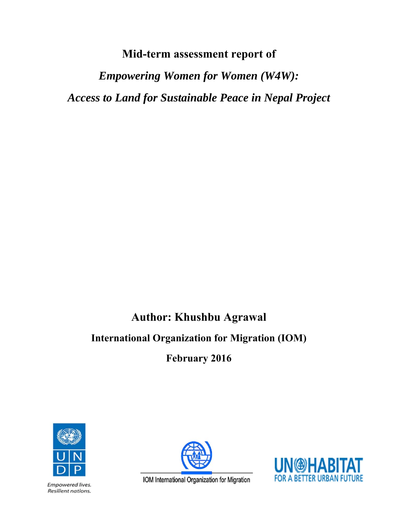# **Mid-term assessment report of**

*Empowering Women for Women (W4W): Access to Land for Sustainable Peace in Nepal Project* 

# **Author: Khushbu Agrawal**

# **International Organization for Migration (IOM)**

**February 2016** 



Empowered lives. Resilient nations.



IOM International Organization for Migration

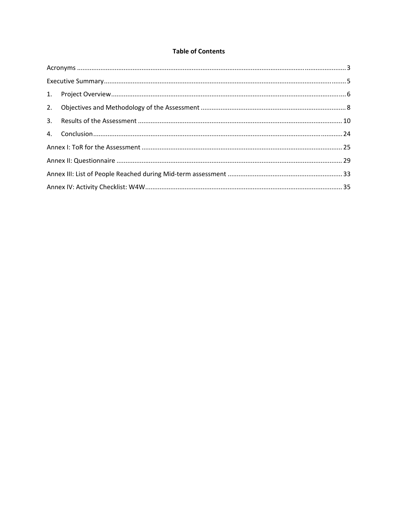#### **Table of Contents**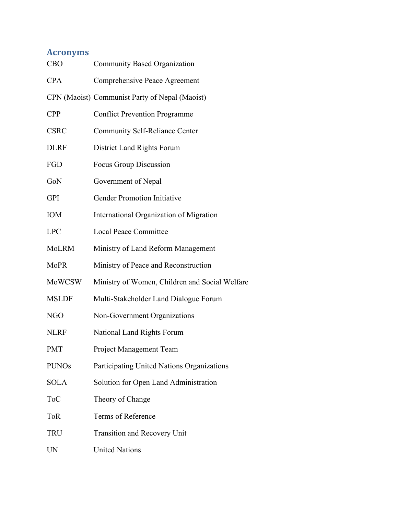# **Acronyms**

| <b>CBO</b>    | <b>Community Based Organization</b>            |
|---------------|------------------------------------------------|
| <b>CPA</b>    | Comprehensive Peace Agreement                  |
|               | CPN (Maoist) Communist Party of Nepal (Maoist) |
| <b>CPP</b>    | <b>Conflict Prevention Programme</b>           |
| <b>CSRC</b>   | <b>Community Self-Reliance Center</b>          |
| <b>DLRF</b>   | District Land Rights Forum                     |
| FGD           | Focus Group Discussion                         |
| GoN           | Government of Nepal                            |
| <b>GPI</b>    | <b>Gender Promotion Initiative</b>             |
| <b>IOM</b>    | International Organization of Migration        |
| <b>LPC</b>    | <b>Local Peace Committee</b>                   |
| MoLRM         | Ministry of Land Reform Management             |
| <b>MoPR</b>   | Ministry of Peace and Reconstruction           |
| <b>MoWCSW</b> | Ministry of Women, Children and Social Welfare |
| <b>MSLDF</b>  | Multi-Stakeholder Land Dialogue Forum          |
| NGO           | Non-Government Organizations                   |
| <b>NLRF</b>   | National Land Rights Forum                     |
| <b>PMT</b>    | Project Management Team                        |
| <b>PUNOs</b>  | Participating United Nations Organizations     |
| <b>SOLA</b>   | Solution for Open Land Administration          |
| <b>ToC</b>    | Theory of Change                               |
| <b>ToR</b>    | Terms of Reference                             |
| TRU           | Transition and Recovery Unit                   |
| <b>UN</b>     | <b>United Nations</b>                          |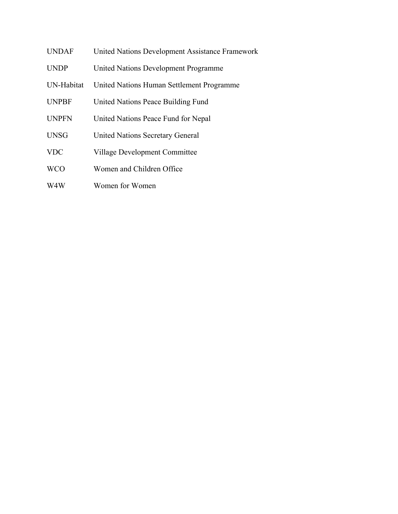- UNDAF United Nations Development Assistance Framework
- UNDP United Nations Development Programme
- UN-Habitat United Nations Human Settlement Programme
- UNPBF United Nations Peace Building Fund
- UNPFN United Nations Peace Fund for Nepal
- UNSG United Nations Secretary General
- VDC Village Development Committee
- WCO Women and Children Office
- W4W Women for Women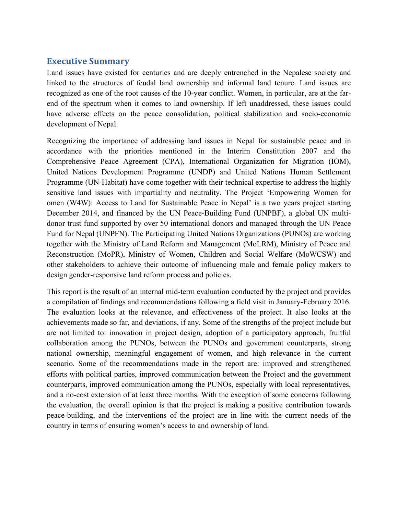## **Executive Summary**

Land issues have existed for centuries and are deeply entrenched in the Nepalese society and linked to the structures of feudal land ownership and informal land tenure. Land issues are recognized as one of the root causes of the 10-year conflict. Women, in particular, are at the farend of the spectrum when it comes to land ownership. If left unaddressed, these issues could have adverse effects on the peace consolidation, political stabilization and socio-economic development of Nepal.

Recognizing the importance of addressing land issues in Nepal for sustainable peace and in accordance with the priorities mentioned in the Interim Constitution 2007 and the Comprehensive Peace Agreement (CPA), International Organization for Migration (IOM), United Nations Development Programme (UNDP) and United Nations Human Settlement Programme (UN-Habitat) have come together with their technical expertise to address the highly sensitive land issues with impartiality and neutrality. The Project 'Empowering Women for omen (W4W): Access to Land for Sustainable Peace in Nepal' is a two years project starting December 2014, and financed by the UN Peace-Building Fund (UNPBF), a global UN multidonor trust fund supported by over 50 international donors and managed through the UN Peace Fund for Nepal (UNPFN). The Participating United Nations Organizations (PUNOs) are working together with the Ministry of Land Reform and Management (MoLRM), Ministry of Peace and Reconstruction (MoPR), Ministry of Women, Children and Social Welfare (MoWCSW) and other stakeholders to achieve their outcome of influencing male and female policy makers to design gender-responsive land reform process and policies.

This report is the result of an internal mid-term evaluation conducted by the project and provides a compilation of findings and recommendations following a field visit in January-February 2016. The evaluation looks at the relevance, and effectiveness of the project. It also looks at the achievements made so far, and deviations, if any. Some of the strengths of the project include but are not limited to: innovation in project design, adoption of a participatory approach, fruitful collaboration among the PUNOs, between the PUNOs and government counterparts, strong national ownership, meaningful engagement of women, and high relevance in the current scenario. Some of the recommendations made in the report are: improved and strengthened efforts with political parties, improved communication between the Project and the government counterparts, improved communication among the PUNOs, especially with local representatives, and a no-cost extension of at least three months. With the exception of some concerns following the evaluation, the overall opinion is that the project is making a positive contribution towards peace-building, and the interventions of the project are in line with the current needs of the country in terms of ensuring women's access to and ownership of land.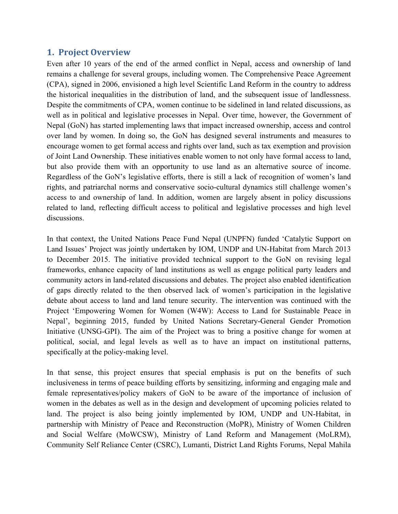## **1. Project Overview**

Even after 10 years of the end of the armed conflict in Nepal, access and ownership of land remains a challenge for several groups, including women. The Comprehensive Peace Agreement (CPA), signed in 2006, envisioned a high level Scientific Land Reform in the country to address the historical inequalities in the distribution of land, and the subsequent issue of landlessness. Despite the commitments of CPA, women continue to be sidelined in land related discussions, as well as in political and legislative processes in Nepal. Over time, however, the Government of Nepal (GoN) has started implementing laws that impact increased ownership, access and control over land by women. In doing so, the GoN has designed several instruments and measures to encourage women to get formal access and rights over land, such as tax exemption and provision of Joint Land Ownership. These initiatives enable women to not only have formal access to land, but also provide them with an opportunity to use land as an alternative source of income. Regardless of the GoN's legislative efforts, there is still a lack of recognition of women's land rights, and patriarchal norms and conservative socio-cultural dynamics still challenge women's access to and ownership of land. In addition, women are largely absent in policy discussions related to land, reflecting difficult access to political and legislative processes and high level discussions.

In that context, the United Nations Peace Fund Nepal (UNPFN) funded 'Catalytic Support on Land Issues' Project was jointly undertaken by IOM, UNDP and UN-Habitat from March 2013 to December 2015. The initiative provided technical support to the GoN on revising legal frameworks, enhance capacity of land institutions as well as engage political party leaders and community actors in land-related discussions and debates. The project also enabled identification of gaps directly related to the then observed lack of women's participation in the legislative debate about access to land and land tenure security. The intervention was continued with the Project 'Empowering Women for Women (W4W): Access to Land for Sustainable Peace in Nepal', beginning 2015, funded by United Nations Secretary-General Gender Promotion Initiative (UNSG-GPI). The aim of the Project was to bring a positive change for women at political, social, and legal levels as well as to have an impact on institutional patterns, specifically at the policy-making level.

In that sense, this project ensures that special emphasis is put on the benefits of such inclusiveness in terms of peace building efforts by sensitizing, informing and engaging male and female representatives/policy makers of GoN to be aware of the importance of inclusion of women in the debates as well as in the design and development of upcoming policies related to land. The project is also being jointly implemented by IOM, UNDP and UN-Habitat, in partnership with Ministry of Peace and Reconstruction (MoPR), Ministry of Women Children and Social Welfare (MoWCSW), Ministry of Land Reform and Management (MoLRM), Community Self Reliance Center (CSRC), Lumanti, District Land Rights Forums, Nepal Mahila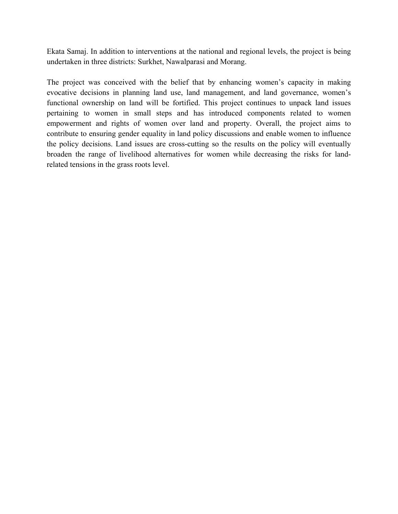Ekata Samaj. In addition to interventions at the national and regional levels, the project is being undertaken in three districts: Surkhet, Nawalparasi and Morang.

The project was conceived with the belief that by enhancing women's capacity in making evocative decisions in planning land use, land management, and land governance, women's functional ownership on land will be fortified. This project continues to unpack land issues pertaining to women in small steps and has introduced components related to women empowerment and rights of women over land and property. Overall, the project aims to contribute to ensuring gender equality in land policy discussions and enable women to influence the policy decisions. Land issues are cross-cutting so the results on the policy will eventually broaden the range of livelihood alternatives for women while decreasing the risks for landrelated tensions in the grass roots level.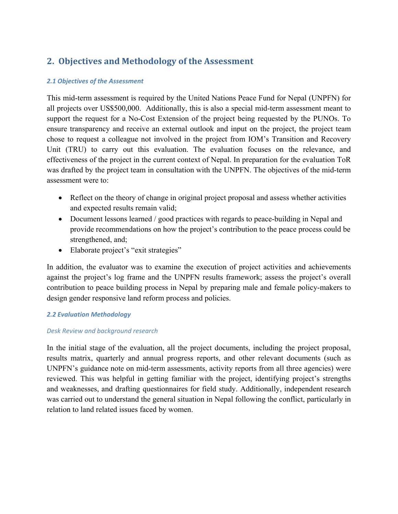## **2. Objectives and Methodology of the Assessment**

#### *2.1 Objectives of the Assessment*

This mid-term assessment is required by the United Nations Peace Fund for Nepal (UNPFN) for all projects over US\$500,000. Additionally, this is also a special mid-term assessment meant to support the request for a No-Cost Extension of the project being requested by the PUNOs. To ensure transparency and receive an external outlook and input on the project, the project team chose to request a colleague not involved in the project from IOM's Transition and Recovery Unit (TRU) to carry out this evaluation. The evaluation focuses on the relevance, and effectiveness of the project in the current context of Nepal. In preparation for the evaluation ToR was drafted by the project team in consultation with the UNPFN. The objectives of the mid-term assessment were to:

- Reflect on the theory of change in original project proposal and assess whether activities and expected results remain valid;
- Document lessons learned / good practices with regards to peace-building in Nepal and provide recommendations on how the project's contribution to the peace process could be strengthened, and;
- Elaborate project's "exit strategies"

In addition, the evaluator was to examine the execution of project activities and achievements against the project's log frame and the UNPFN results framework; assess the project's overall contribution to peace building process in Nepal by preparing male and female policy-makers to design gender responsive land reform process and policies.

#### *2.2 Evaluation Methodology*

#### *Desk Review and background research*

In the initial stage of the evaluation, all the project documents, including the project proposal, results matrix, quarterly and annual progress reports, and other relevant documents (such as UNPFN's guidance note on mid-term assessments, activity reports from all three agencies) were reviewed. This was helpful in getting familiar with the project, identifying project's strengths and weaknesses, and drafting questionnaires for field study. Additionally, independent research was carried out to understand the general situation in Nepal following the conflict, particularly in relation to land related issues faced by women.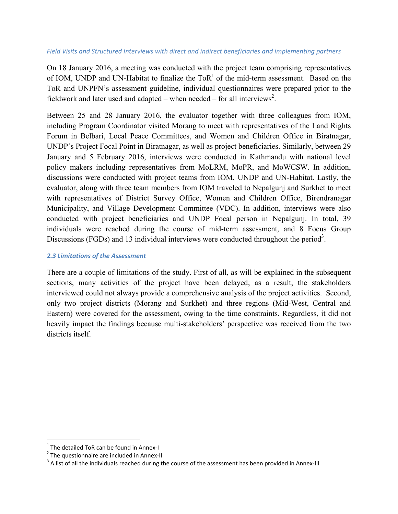#### *Field Visits and Structured Interviews with direct and indirect beneficiaries and implementing partners*

On 18 January 2016, a meeting was conducted with the project team comprising representatives of IOM, UNDP and UN-Habitat to finalize the  $ToR<sup>1</sup>$  of the mid-term assessment. Based on the ToR and UNPFN's assessment guideline, individual questionnaires were prepared prior to the fieldwork and later used and adapted – when needed – for all interviews<sup>2</sup>.

Between 25 and 28 January 2016, the evaluator together with three colleagues from IOM, including Program Coordinator visited Morang to meet with representatives of the Land Rights Forum in Belbari, Local Peace Committees, and Women and Children Office in Biratnagar, UNDP's Project Focal Point in Biratnagar, as well as project beneficiaries. Similarly, between 29 January and 5 February 2016, interviews were conducted in Kathmandu with national level policy makers including representatives from MoLRM, MoPR, and MoWCSW. In addition, discussions were conducted with project teams from IOM, UNDP and UN-Habitat. Lastly, the evaluator, along with three team members from IOM traveled to Nepalgunj and Surkhet to meet with representatives of District Survey Office, Women and Children Office, Birendranagar Municipality, and Village Development Committee (VDC). In addition, interviews were also conducted with project beneficiaries and UNDP Focal person in Nepalgunj. In total, 39 individuals were reached during the course of mid-term assessment, and 8 Focus Group Discussions (FGDs) and 13 individual interviews were conducted throughout the period<sup>3</sup>.

#### *2.3 Limitations of the Assessment*

There are a couple of limitations of the study. First of all, as will be explained in the subsequent sections, many activities of the project have been delayed; as a result, the stakeholders interviewed could not always provide a comprehensive analysis of the project activities. Second, only two project districts (Morang and Surkhet) and three regions (Mid-West, Central and Eastern) were covered for the assessment, owing to the time constraints. Regardless, it did not heavily impact the findings because multi-stakeholders' perspective was received from the two districts itself

<sup>&</sup>lt;sup>1</sup> The detailed ToR can be found in Annex-I<br><sup>2</sup> The questionnaire are included in Annex-II<br><sup>3</sup> A list of all the individuals reached during the course of the assessment has been provided in Annex-III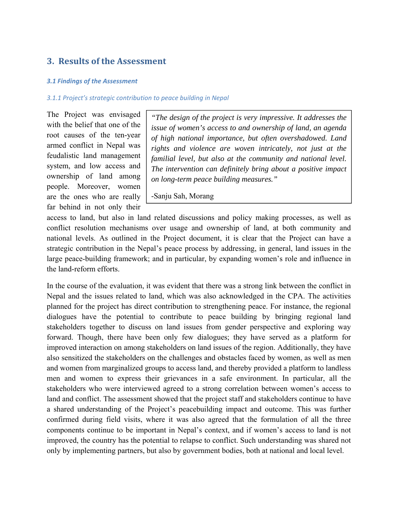## **3. Results of the Assessment**

#### *3.1 Findings of the Assessment*

#### *3.1.1 Project's strategic contribution to peace building in Nepal*

The Project was envisaged with the belief that one of the root causes of the ten-year armed conflict in Nepal was feudalistic land management system, and low access and ownership of land among people. Moreover, women are the ones who are really far behind in not only their

*"The design of the project is very impressive. It addresses the issue of women's access to and ownership of land, an agenda of high national importance, but often overshadowed. Land rights and violence are woven intricately, not just at the familial level, but also at the community and national level. The intervention can definitely bring about a positive impact on long-term peace building measures."* 

-Sanju Sah, Morang

access to land, but also in land related discussions and policy making processes, as well as conflict resolution mechanisms over usage and ownership of land, at both community and national levels. As outlined in the Project document, it is clear that the Project can have a strategic contribution in the Nepal's peace process by addressing, in general, land issues in the large peace-building framework; and in particular, by expanding women's role and influence in the land-reform efforts.

In the course of the evaluation, it was evident that there was a strong link between the conflict in Nepal and the issues related to land, which was also acknowledged in the CPA. The activities planned for the project has direct contribution to strengthening peace. For instance, the regional dialogues have the potential to contribute to peace building by bringing regional land stakeholders together to discuss on land issues from gender perspective and exploring way forward. Though, there have been only few dialogues; they have served as a platform for improved interaction on among stakeholders on land issues of the region. Additionally, they have also sensitized the stakeholders on the challenges and obstacles faced by women, as well as men and women from marginalized groups to access land, and thereby provided a platform to landless men and women to express their grievances in a safe environment. In particular, all the stakeholders who were interviewed agreed to a strong correlation between women's access to land and conflict. The assessment showed that the project staff and stakeholders continue to have a shared understanding of the Project's peacebuilding impact and outcome. This was further confirmed during field visits, where it was also agreed that the formulation of all the three components continue to be important in Nepal's context, and if women's access to land is not improved, the country has the potential to relapse to conflict. Such understanding was shared not only by implementing partners, but also by government bodies, both at national and local level.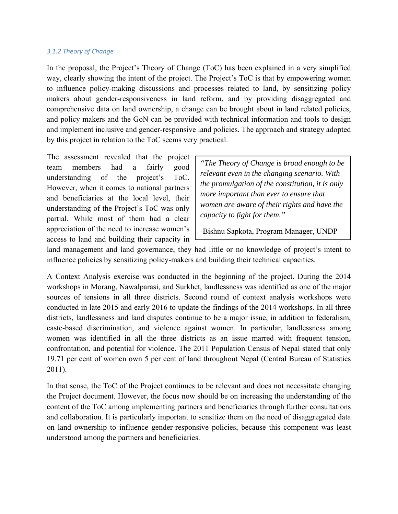#### *3.1.2 Theory of Change*

In the proposal, the Project's Theory of Change (ToC) has been explained in a very simplified way, clearly showing the intent of the project. The Project's ToC is that by empowering women to influence policy-making discussions and processes related to land, by sensitizing policy makers about gender-responsiveness in land reform, and by providing disaggregated and comprehensive data on land ownership, a change can be brought about in land related policies, and policy makers and the GoN can be provided with technical information and tools to design and implement inclusive and gender-responsive land policies. The approach and strategy adopted by this project in relation to the ToC seems very practical.

The assessment revealed that the project team members had a fairly good understanding of the project's ToC. However, when it comes to national partners and beneficiaries at the local level, their understanding of the Project's ToC was only partial. While most of them had a clear appreciation of the need to increase women's access to land and building their capacity in

*"The Theory of Change is broad enough to be relevant even in the changing scenario. With the promulgation of the constitution, it is only more important than ever to ensure that women are aware of their rights and have the capacity to fight for them."* 

-Bishnu Sapkota, Program Manager, UNDP

land management and land governance, they had little or no knowledge of project's intent to influence policies by sensitizing policy-makers and building their technical capacities.

A Context Analysis exercise was conducted in the beginning of the project. During the 2014 workshops in Morang, Nawalparasi, and Surkhet, landlessness was identified as one of the major sources of tensions in all three districts. Second round of context analysis workshops were conducted in late 2015 and early 2016 to update the findings of the 2014 workshops. In all three districts, landlessness and land disputes continue to be a major issue, in addition to federalism, caste-based discrimination, and violence against women. In particular, landlessness among women was identified in all the three districts as an issue marred with frequent tension, confrontation, and potential for violence. The 2011 Population Census of Nepal stated that only 19.71 per cent of women own 5 per cent of land throughout Nepal (Central Bureau of Statistics 2011).

In that sense, the ToC of the Project continues to be relevant and does not necessitate changing the Project document. However, the focus now should be on increasing the understanding of the content of the ToC among implementing partners and beneficiaries through further consultations and collaboration. It is particularly important to sensitize them on the need of disaggregated data on land ownership to influence gender-responsive policies, because this component was least understood among the partners and beneficiaries.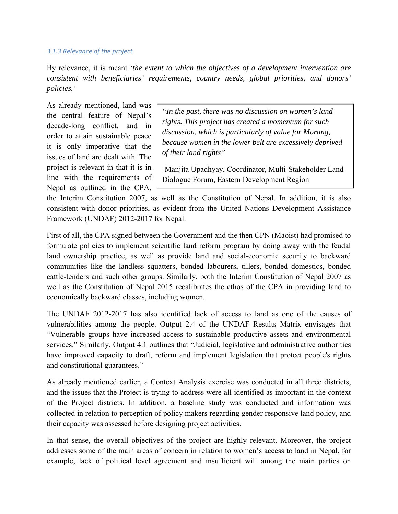#### *3.1.3 Relevance of the project*

By relevance, it is meant '*the extent to which the objectives of a development intervention are consistent with beneficiaries' requirements, country needs, global priorities, and donors' policies.'* 

As already mentioned, land was the central feature of Nepal's decade-long conflict, and in order to attain sustainable peace it is only imperative that the issues of land are dealt with. The project is relevant in that it is in line with the requirements of Nepal as outlined in the CPA,

*"In the past, there was no discussion on women's land rights. This project has created a momentum for such discussion, which is particularly of value for Morang, because women in the lower belt are excessively deprived of their land rights"* 

-Manjita Upadhyay, Coordinator, Multi-Stakeholder Land Dialogue Forum, Eastern Development Region

the Interim Constitution 2007, as well as the Constitution of Nepal. In addition, it is also consistent with donor priorities, as evident from the United Nations Development Assistance Framework (UNDAF) 2012-2017 for Nepal.

First of all, the CPA signed between the Government and the then CPN (Maoist) had promised to formulate policies to implement scientific land reform program by doing away with the feudal land ownership practice, as well as provide land and social-economic security to backward communities like the landless squatters, bonded labourers, tillers, bonded domestics, bonded cattle-tenders and such other groups. Similarly, both the Interim Constitution of Nepal 2007 as well as the Constitution of Nepal 2015 recalibrates the ethos of the CPA in providing land to economically backward classes, including women.

The UNDAF 2012-2017 has also identified lack of access to land as one of the causes of vulnerabilities among the people. Output 2.4 of the UNDAF Results Matrix envisages that "Vulnerable groups have increased access to sustainable productive assets and environmental services." Similarly, Output 4.1 outlines that "Judicial, legislative and administrative authorities have improved capacity to draft, reform and implement legislation that protect people's rights and constitutional guarantees."

As already mentioned earlier, a Context Analysis exercise was conducted in all three districts, and the issues that the Project is trying to address were all identified as important in the context of the Project districts. In addition, a baseline study was conducted and information was collected in relation to perception of policy makers regarding gender responsive land policy, and their capacity was assessed before designing project activities.

In that sense, the overall objectives of the project are highly relevant. Moreover, the project addresses some of the main areas of concern in relation to women's access to land in Nepal, for example, lack of political level agreement and insufficient will among the main parties on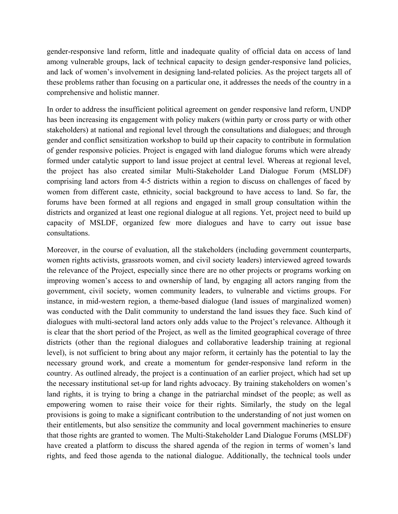gender-responsive land reform, little and inadequate quality of official data on access of land among vulnerable groups, lack of technical capacity to design gender-responsive land policies, and lack of women's involvement in designing land-related policies. As the project targets all of these problems rather than focusing on a particular one, it addresses the needs of the country in a comprehensive and holistic manner.

In order to address the insufficient political agreement on gender responsive land reform, UNDP has been increasing its engagement with policy makers (within party or cross party or with other stakeholders) at national and regional level through the consultations and dialogues; and through gender and conflict sensitization workshop to build up their capacity to contribute in formulation of gender responsive policies. Project is engaged with land dialogue forums which were already formed under catalytic support to land issue project at central level. Whereas at regional level, the project has also created similar Multi-Stakeholder Land Dialogue Forum (MSLDF) comprising land actors from 4-5 districts within a region to discuss on challenges of faced by women from different caste, ethnicity, social background to have access to land. So far, the forums have been formed at all regions and engaged in small group consultation within the districts and organized at least one regional dialogue at all regions. Yet, project need to build up capacity of MSLDF, organized few more dialogues and have to carry out issue base consultations.

Moreover, in the course of evaluation, all the stakeholders (including government counterparts, women rights activists, grassroots women, and civil society leaders) interviewed agreed towards the relevance of the Project, especially since there are no other projects or programs working on improving women's access to and ownership of land, by engaging all actors ranging from the government, civil society, women community leaders, to vulnerable and victims groups. For instance, in mid-western region, a theme-based dialogue (land issues of marginalized women) was conducted with the Dalit community to understand the land issues they face. Such kind of dialogues with multi-sectoral land actors only adds value to the Project's relevance. Although it is clear that the short period of the Project, as well as the limited geographical coverage of three districts (other than the regional dialogues and collaborative leadership training at regional level), is not sufficient to bring about any major reform, it certainly has the potential to lay the necessary ground work, and create a momentum for gender-responsive land reform in the country. As outlined already, the project is a continuation of an earlier project, which had set up the necessary institutional set-up for land rights advocacy. By training stakeholders on women's land rights, it is trying to bring a change in the patriarchal mindset of the people; as well as empowering women to raise their voice for their rights. Similarly, the study on the legal provisions is going to make a significant contribution to the understanding of not just women on their entitlements, but also sensitize the community and local government machineries to ensure that those rights are granted to women. The Multi-Stakeholder Land Dialogue Forums (MSLDF) have created a platform to discuss the shared agenda of the region in terms of women's land rights, and feed those agenda to the national dialogue. Additionally, the technical tools under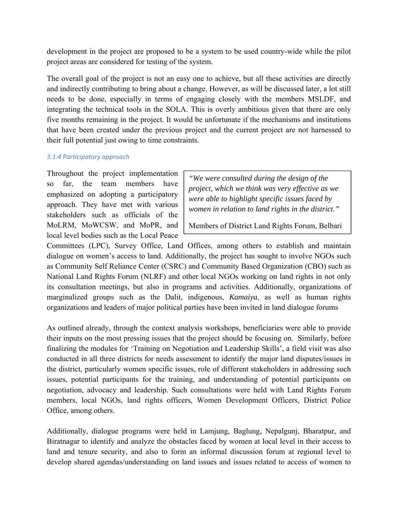development in the project are proposed to be a system to be used country-wide while the pilot project areas are considered for testing of the system.

The overall goal of the project is not an easy one to achieve, but all these activities are directly and indirectly contributing to bring about a change. However, as will be discussed later, a lot still needs to be done, especially in terms of engaging closely with the members MSLDF, and integrating the technical tools in the SOLA. This is overly ambitious given that there are only five months remaining in the project. It would be unfortunate if the mechanisms and institutions that have been created under the previous project and the current project are not harnessed to their full potential just owing to time constraints.

#### *3.1.4 Participatory approach*

Throughout the project implementation so far, the team members have emphasized on adopting a participatory approach. They have met with various stakeholders such as officials of the MoLRM, MoWCSW, and MoPR, and local level bodies such as the Local Peace

*"We were consulted during the design of the project, which we think was very effective as we were able to highlight specific issues faced by women in relation to land rights in the district."* 

Members of District Land Rights Forum, Belbari

Committees (LPC), Survey Office, Land Offices, among others to establish and maintain dialogue on women's access to land. Additionally, the project has sought to involve NGOs such as Community Self Reliance Center (CSRC) and Community Based Organization (CBO) such as National Land Rights Forum (NLRF) and other local NGOs working on land rights in not only its consultation meetings, but also in programs and activities. Additionally, organizations of marginalized groups such as the Dalit, indigenous, *Kamaiya,* as well as human rights organizations and leaders of major political parties have been invited in land dialogue forums

As outlined already, through the context analysis workshops, beneficiaries were able to provide their inputs on the most pressing issues that the project should be focusing on. Similarly, before finalizing the modules for 'Training on Negotiation and Leadership Skills', a field visit was also conducted in all three districts for needs assessment to identify the major land disputes/issues in the district, particularly women specific issues, role of different stakeholders in addressing such issues, potential participants for the training, and understanding of potential participants on negotiation, advocacy and leadership. Such consultations were held with Land Rights Forum members, local NGOs, land rights officers, Women Development Officers, District Police Office, among others.

Additionally, dialogue programs were held in Lamjung, Baglung, Nepalgunj, Bharatpur, and Biratnagar to identify and analyze the obstacles faced by women at local level in their access to land and tenure security, and also to form an informal discussion forum at regional level to develop shared agendas/understanding on land issues and issues related to access of women to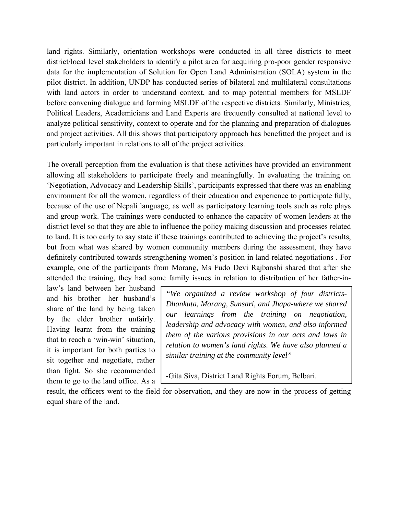land rights. Similarly, orientation workshops were conducted in all three districts to meet district/local level stakeholders to identify a pilot area for acquiring pro-poor gender responsive data for the implementation of Solution for Open Land Administration (SOLA) system in the pilot district. In addition, UNDP has conducted series of bilateral and multilateral consultations with land actors in order to understand context, and to map potential members for MSLDF before convening dialogue and forming MSLDF of the respective districts. Similarly, Ministries, Political Leaders, Academicians and Land Experts are frequently consulted at national level to analyze political sensitivity, context to operate and for the planning and preparation of dialogues and project activities. All this shows that participatory approach has benefitted the project and is particularly important in relations to all of the project activities.

The overall perception from the evaluation is that these activities have provided an environment allowing all stakeholders to participate freely and meaningfully. In evaluating the training on 'Negotiation, Advocacy and Leadership Skills', participants expressed that there was an enabling environment for all the women, regardless of their education and experience to participate fully, because of the use of Nepali language, as well as participatory learning tools such as role plays and group work. The trainings were conducted to enhance the capacity of women leaders at the district level so that they are able to influence the policy making discussion and processes related to land. It is too early to say state if these trainings contributed to achieving the project's results, but from what was shared by women community members during the assessment, they have definitely contributed towards strengthening women's position in land-related negotiations . For example, one of the participants from Morang, Ms Fudo Devi Rajbanshi shared that after she attended the training, they had some family issues in relation to distribution of her father-in-

law's land between her husband and his brother—her husband's share of the land by being taken by the elder brother unfairly. Having learnt from the training that to reach a 'win-win' situation, it is important for both parties to sit together and negotiate, rather than fight. So she recommended them to go to the land office. As a

*"We organized a review workshop of four districts-Dhankuta, Morang, Sunsari, and Jhapa-where we shared our learnings from the training on negotiation, leadership and advocacy with women, and also informed them of the various provisions in our acts and laws in relation to women's land rights. We have also planned a similar training at the community level"* 

-Gita Siva, District Land Rights Forum, Belbari.

result, the officers went to the field for observation, and they are now in the process of getting equal share of the land.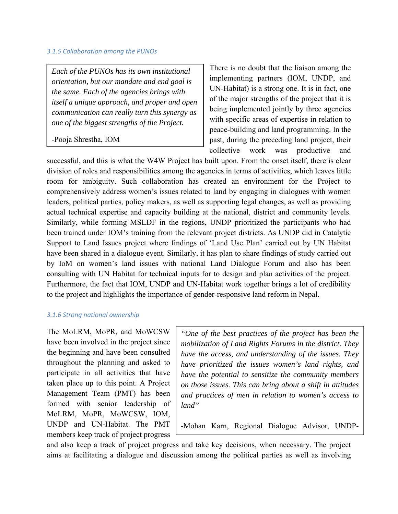#### *3.1.5 Collaboration among the PUNOs*

*Each of the PUNOs has its own institutional orientation, but our mandate and end goal is the same. Each of the agencies brings with itself a unique approach, and proper and open communication can really turn this synergy as one of the biggest strengths of the Project.* 

-Pooja Shrestha, IOM

There is no doubt that the liaison among the implementing partners (IOM, UNDP, and UN-Habitat) is a strong one. It is in fact, one of the major strengths of the project that it is being implemented jointly by three agencies with specific areas of expertise in relation to peace-building and land programming. In the past, during the preceding land project, their collective work was productive and

successful, and this is what the W4W Project has built upon. From the onset itself, there is clear division of roles and responsibilities among the agencies in terms of activities, which leaves little room for ambiguity. Such collaboration has created an environment for the Project to comprehensively address women's issues related to land by engaging in dialogues with women leaders, political parties, policy makers, as well as supporting legal changes, as well as providing actual technical expertise and capacity building at the national, district and community levels. Similarly, while forming MSLDF in the regions, UNDP prioritized the participants who had been trained under IOM's training from the relevant project districts. As UNDP did in Catalytic Support to Land Issues project where findings of 'Land Use Plan' carried out by UN Habitat have been shared in a dialogue event. Similarly, it has plan to share findings of study carried out by IoM on women's land issues with national Land Dialogue Forum and also has been consulting with UN Habitat for technical inputs for to design and plan activities of the project. Furthermore, the fact that IOM, UNDP and UN-Habitat work together brings a lot of credibility to the project and highlights the importance of gender-responsive land reform in Nepal.

#### *3.1.6 Strong national ownership*

The MoLRM, MoPR, and MoWCSW have been involved in the project since the beginning and have been consulted throughout the planning and asked to participate in all activities that have taken place up to this point. A Project Management Team (PMT) has been formed with senior leadership of MoLRM, MoPR, MoWCSW, IOM, UNDP and UN-Habitat. The PMT members keep track of project progress

*"One of the best practices of the project has been the mobilization of Land Rights Forums in the district. They have the access, and understanding of the issues. They have prioritized the issues women's land rights, and have the potential to sensitize the community members on those issues. This can bring about a shift in attitudes and practices of men in relation to women's access to land"* 

-Mohan Karn, Regional Dialogue Advisor, UNDP-

and also keep a track of project progress and take key decisions, when necessary. The project aims at facilitating a dialogue and discussion among the political parties as well as involving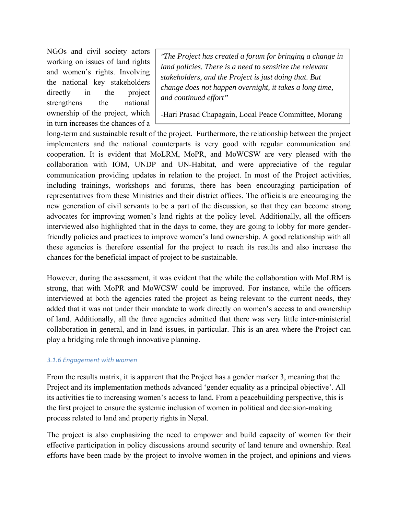NGOs and civil society actors working on issues of land rights and women's rights. Involving the national key stakeholders directly in the project strengthens the national ownership of the project, which in turn increases the chances of a

*"The Project has created a forum for bringing a change in land policies. There is a need to sensitize the relevant stakeholders, and the Project is just doing that. But change does not happen overnight, it takes a long time, and continued effort"* 

-Hari Prasad Chapagain, Local Peace Committee, Morang

long-term and sustainable result of the project. Furthermore, the relationship between the project implementers and the national counterparts is very good with regular communication and cooperation. It is evident that MoLRM, MoPR, and MoWCSW are very pleased with the collaboration with IOM, UNDP and UN-Habitat, and were appreciative of the regular communication providing updates in relation to the project. In most of the Project activities, including trainings, workshops and forums, there has been encouraging participation of representatives from these Ministries and their district offices. The officials are encouraging the new generation of civil servants to be a part of the discussion, so that they can become strong advocates for improving women's land rights at the policy level. Additionally, all the officers interviewed also highlighted that in the days to come, they are going to lobby for more genderfriendly policies and practices to improve women's land ownership. A good relationship with all these agencies is therefore essential for the project to reach its results and also increase the chances for the beneficial impact of project to be sustainable.

However, during the assessment, it was evident that the while the collaboration with MoLRM is strong, that with MoPR and MoWCSW could be improved. For instance, while the officers interviewed at both the agencies rated the project as being relevant to the current needs, they added that it was not under their mandate to work directly on women's access to and ownership of land. Additionally, all the three agencies admitted that there was very little inter-ministerial collaboration in general, and in land issues, in particular. This is an area where the Project can play a bridging role through innovative planning.

#### *3.1.6 Engagement with women*

From the results matrix, it is apparent that the Project has a gender marker 3, meaning that the Project and its implementation methods advanced 'gender equality as a principal objective'. All its activities tie to increasing women's access to land. From a peacebuilding perspective, this is the first project to ensure the systemic inclusion of women in political and decision-making process related to land and property rights in Nepal.

The project is also emphasizing the need to empower and build capacity of women for their effective participation in policy discussions around security of land tenure and ownership. Real efforts have been made by the project to involve women in the project, and opinions and views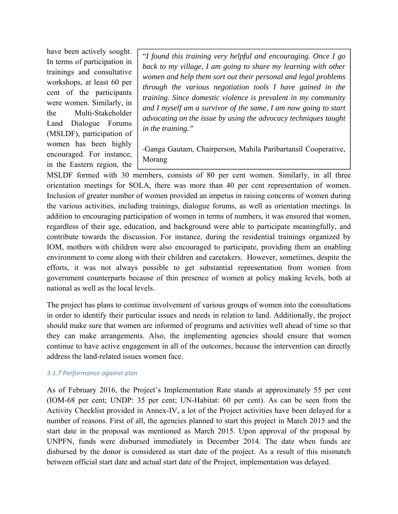have been actively sought. In terms of participation in trainings and consultative workshops, at least 60 per cent of the participants were women. Similarly, in the Multi-Stakeholder Land Dialogue Forums (MSLDF), participation of women has been highly encouraged. For instance, in the Eastern region, the

"*I found this training very helpful and encouraging. Once I go back to my village, I am going to share my learning with other women and help them sort out their personal and legal problems through the various negotiation tools I have gained in the training. Since domestic violence is prevalent in my community and I myself am a survivor of the same, I am now going to start advocating on the issue by using the advocacy techniques taught in the training."* 

‐Ganga Gautam, Chairperson, Mahila Paribartansil Cooperative, Morang

MSLDF formed with 30 members, consists of 80 per cent women. Similarly, in all three orientation meetings for SOLA, there was more than 40 per cent representation of women. Inclusion of greater number of women provided an impetus in raising concerns of women during the various activities, including trainings, dialogue forums, as well as orientation meetings. In addition to encouraging participation of women in terms of numbers, it was ensured that women, regardless of their age, education, and background were able to participate meaningfully, and contribute towards the discussion. For instance, during the residential trainings organized by IOM, mothers with children were also encouraged to participate, providing them an enabling environment to come along with their children and caretakers. However, sometimes, despite the efforts, it was not always possible to get substantial representation from women from government counterparts because of thin presence of women at policy making levels, both at national as well as the local levels.

The project has plans to continue involvement of various groups of women into the consultations in order to identify their particular issues and needs in relation to land. Additionally, the project should make sure that women are informed of programs and activities well ahead of time so that they can make arrangements. Also, the implementing agencies should ensure that women continue to have active engagement in all of the outcomes, because the intervention can directly address the land-related issues women face.

#### *3.1.7 Performance against plan*

As of February 2016, the Project's Implementation Rate stands at approximately 55 per cent (IOM-68 per cent; UNDP: 35 per cent; UN-Habitat: 60 per cent). As can be seen from the Activity Checklist provided in Annex-IV, a lot of the Project activities have been delayed for a number of reasons. First of all, the agencies planned to start this project in March 2015 and the start date in the proposal was mentioned as March 2015. Upon approval of the proposal by UNPFN, funds were disbursed immediately in December 2014. The date when funds are disbursed by the donor is considered as start date of the project. As a result of this mismatch between official start date and actual start date of the Project, implementation was delayed.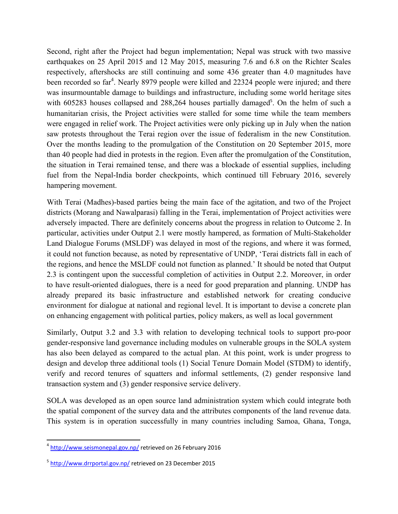Second, right after the Project had begun implementation; Nepal was struck with two massive earthquakes on 25 April 2015 and 12 May 2015, measuring 7.6 and 6.8 on the Richter Scales respectively, aftershocks are still continuing and some 436 greater than 4.0 magnitudes have been recorded so far<sup>4</sup>. Nearly 8979 people were killed and 22324 people were injured; and there was insurmountable damage to buildings and infrastructure, including some world heritage sites with 605283 houses collapsed and 288,264 houses partially damaged<sup>5</sup>. On the helm of such a humanitarian crisis, the Project activities were stalled for some time while the team members were engaged in relief work. The Project activities were only picking up in July when the nation saw protests throughout the Terai region over the issue of federalism in the new Constitution. Over the months leading to the promulgation of the Constitution on 20 September 2015, more than 40 people had died in protests in the region. Even after the promulgation of the Constitution, the situation in Terai remained tense, and there was a blockade of essential supplies, including fuel from the Nepal-India border checkpoints, which continued till February 2016, severely hampering movement.

With Terai (Madhes)-based parties being the main face of the agitation, and two of the Project districts (Morang and Nawalparasi) falling in the Terai, implementation of Project activities were adversely impacted. There are definitely concerns about the progress in relation to Outcome 2. In particular, activities under Output 2.1 were mostly hampered, as formation of Multi-Stakeholder Land Dialogue Forums (MSLDF) was delayed in most of the regions, and where it was formed, it could not function because, as noted by representative of UNDP, 'Terai districts fall in each of the regions, and hence the MSLDF could not function as planned.' It should be noted that Output 2.3 is contingent upon the successful completion of activities in Output 2.2. Moreover, in order to have result-oriented dialogues, there is a need for good preparation and planning. UNDP has already prepared its basic infrastructure and established network for creating conducive environment for dialogue at national and regional level. It is important to devise a concrete plan on enhancing engagement with political parties, policy makers, as well as local government

Similarly, Output 3.2 and 3.3 with relation to developing technical tools to support pro-poor gender-responsive land governance including modules on vulnerable groups in the SOLA system has also been delayed as compared to the actual plan. At this point, work is under progress to design and develop three additional tools (1) Social Tenure Domain Model (STDM) to identify, verify and record tenures of squatters and informal settlements, (2) gender responsive land transaction system and (3) gender responsive service delivery.

SOLA was developed as an open source land administration system which could integrate both the spatial component of the survey data and the attributes components of the land revenue data. This system is in operation successfully in many countries including Samoa, Ghana, Tonga,

<sup>&</sup>lt;sup>4</sup> http://www.seismonepal.gov.np/ retrieved on 26 February 2016

<sup>5</sup> http://www.drrportal.gov.np/ retrieved on 23 December 2015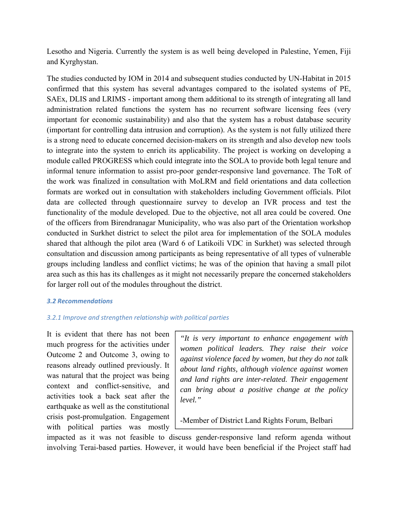Lesotho and Nigeria. Currently the system is as well being developed in Palestine, Yemen, Fiji and Kyrghystan.

The studies conducted by IOM in 2014 and subsequent studies conducted by UN-Habitat in 2015 confirmed that this system has several advantages compared to the isolated systems of PE, SAEx, DLIS and LRIMS - important among them additional to its strength of integrating all land administration related functions the system has no recurrent software licensing fees (very important for economic sustainability) and also that the system has a robust database security (important for controlling data intrusion and corruption). As the system is not fully utilized there is a strong need to educate concerned decision-makers on its strength and also develop new tools to integrate into the system to enrich its applicability. The project is working on developing a module called PROGRESS which could integrate into the SOLA to provide both legal tenure and informal tenure information to assist pro-poor gender-responsive land governance. The ToR of the work was finalized in consultation with MoLRM and field orientations and data collection formats are worked out in consultation with stakeholders including Government officials. Pilot data are collected through questionnaire survey to develop an IVR process and test the functionality of the module developed. Due to the objective, not all area could be covered. One of the officers from Birendranagar Municipality, who was also part of the Orientation workshop conducted in Surkhet district to select the pilot area for implementation of the SOLA modules shared that although the pilot area (Ward 6 of Latikoili VDC in Surkhet) was selected through consultation and discussion among participants as being representative of all types of vulnerable groups including landless and conflict victims; he was of the opinion that having a small pilot area such as this has its challenges as it might not necessarily prepare the concerned stakeholders for larger roll out of the modules throughout the district.

#### *3.2 Recommendations*

#### *3.2.1 Improve and strengthen relationship with political parties*

It is evident that there has not been much progress for the activities under Outcome 2 and Outcome 3, owing to reasons already outlined previously. It was natural that the project was being context and conflict-sensitive, and activities took a back seat after the earthquake as well as the constitutional crisis post-promulgation. Engagement with political parties was mostly

*"It is very important to enhance engagement with women political leaders. They raise their voice against violence faced by women, but they do not talk about land rights, although violence against women and land rights are inter-related. Their engagement can bring about a positive change at the policy level."* 

-Member of District Land Rights Forum, Belbari

impacted as it was not feasible to discuss gender-responsive land reform agenda without involving Terai-based parties. However, it would have been beneficial if the Project staff had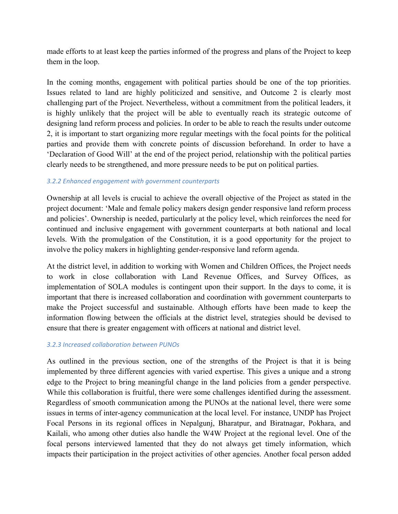made efforts to at least keep the parties informed of the progress and plans of the Project to keep them in the loop.

In the coming months, engagement with political parties should be one of the top priorities. Issues related to land are highly politicized and sensitive, and Outcome 2 is clearly most challenging part of the Project. Nevertheless, without a commitment from the political leaders, it is highly unlikely that the project will be able to eventually reach its strategic outcome of designing land reform process and policies. In order to be able to reach the results under outcome 2, it is important to start organizing more regular meetings with the focal points for the political parties and provide them with concrete points of discussion beforehand. In order to have a 'Declaration of Good Will' at the end of the project period, relationship with the political parties clearly needs to be strengthened, and more pressure needs to be put on political parties.

#### *3.2.2 Enhanced engagement with government counterparts*

Ownership at all levels is crucial to achieve the overall objective of the Project as stated in the project document: 'Male and female policy makers design gender responsive land reform process and policies'. Ownership is needed, particularly at the policy level, which reinforces the need for continued and inclusive engagement with government counterparts at both national and local levels. With the promulgation of the Constitution, it is a good opportunity for the project to involve the policy makers in highlighting gender-responsive land reform agenda.

At the district level, in addition to working with Women and Children Offices, the Project needs to work in close collaboration with Land Revenue Offices, and Survey Offices, as implementation of SOLA modules is contingent upon their support. In the days to come, it is important that there is increased collaboration and coordination with government counterparts to make the Project successful and sustainable. Although efforts have been made to keep the information flowing between the officials at the district level, strategies should be devised to ensure that there is greater engagement with officers at national and district level.

#### *3.2.3 Increased collaboration between PUNOs*

As outlined in the previous section, one of the strengths of the Project is that it is being implemented by three different agencies with varied expertise. This gives a unique and a strong edge to the Project to bring meaningful change in the land policies from a gender perspective. While this collaboration is fruitful, there were some challenges identified during the assessment. Regardless of smooth communication among the PUNOs at the national level, there were some issues in terms of inter-agency communication at the local level. For instance, UNDP has Project Focal Persons in its regional offices in Nepalgunj, Bharatpur, and Biratnagar, Pokhara, and Kailali, who among other duties also handle the W4W Project at the regional level. One of the focal persons interviewed lamented that they do not always get timely information, which impacts their participation in the project activities of other agencies. Another focal person added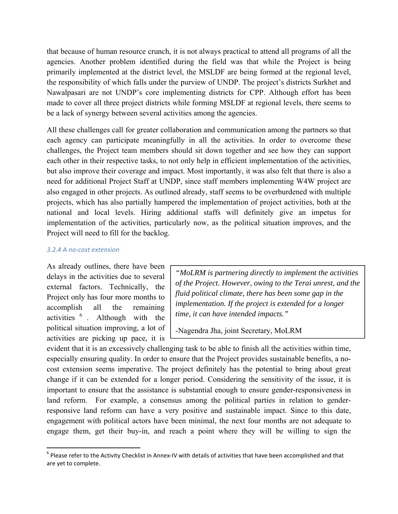that because of human resource crunch, it is not always practical to attend all programs of all the agencies. Another problem identified during the field was that while the Project is being primarily implemented at the district level, the MSLDF are being formed at the regional level, the responsibility of which falls under the purview of UNDP. The project's districts Surkhet and Nawalpasari are not UNDP's core implementing districts for CPP. Although effort has been made to cover all three project districts while forming MSLDF at regional levels, there seems to be a lack of synergy between several activities among the agencies.

All these challenges call for greater collaboration and communication among the partners so that each agency can participate meaningfully in all the activities. In order to overcome these challenges, the Project team members should sit down together and see how they can support each other in their respective tasks, to not only help in efficient implementation of the activities, but also improve their coverage and impact. Most importantly, it was also felt that there is also a need for additional Project Staff at UNDP, since staff members implementing W4W project are also engaged in other projects. As outlined already, staff seems to be overburdened with multiple projects, which has also partially hampered the implementation of project activities, both at the national and local levels. Hiring additional staffs will definitely give an impetus for implementation of the activities, particularly now, as the political situation improves, and the Project will need to fill for the backlog.

#### *3.2.4 A no‐cost extension*

As already outlines, there have been delays in the activities due to several external factors. Technically, the Project only has four more months to accomplish all the remaining activities <sup>6</sup> . Although with the political situation improving, a lot of activities are picking up pace, it is

*"MoLRM is partnering directly to implement the activities of the Project. However, owing to the Terai unrest, and the fluid political climate, there has been some gap in the implementation. If the project is extended for a longer time, it can have intended impacts."* 

-Nagendra Jha, joint Secretary, MoLRM

evident that it is an excessively challenging task to be able to finish all the activities within time, especially ensuring quality. In order to ensure that the Project provides sustainable benefits, a nocost extension seems imperative. The project definitely has the potential to bring about great change if it can be extended for a longer period. Considering the sensitivity of the issue, it is important to ensure that the assistance is substantial enough to ensure gender-responsiveness in land reform. For example, a consensus among the political parties in relation to genderresponsive land reform can have a very positive and sustainable impact. Since to this date, engagement with political actors have been minimal, the next four months are not adequate to engage them, get their buy-in, and reach a point where they will be willing to sign the

  $6$  Please refer to the Activity Checklist in Annex-IV with details of activities that have been accomplished and that are yet to complete.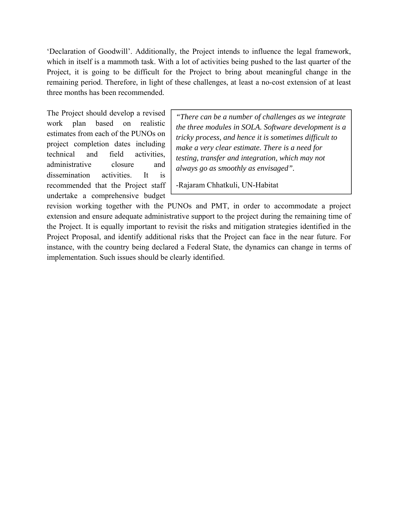'Declaration of Goodwill'. Additionally, the Project intends to influence the legal framework, which in itself is a mammoth task. With a lot of activities being pushed to the last quarter of the Project, it is going to be difficult for the Project to bring about meaningful change in the remaining period. Therefore, in light of these challenges, at least a no-cost extension of at least three months has been recommended.

The Project should develop a revised work plan based on realistic estimates from each of the PUNOs on project completion dates including technical and field activities, administrative closure and dissemination activities. It is recommended that the Project staff undertake a comprehensive budget

*"There can be a number of challenges as we integrate the three modules in SOLA. Software development is a tricky process, and hence it is sometimes difficult to make a very clear estimate. There is a need for testing, transfer and integration, which may not always go as smoothly as envisaged".* 

-Rajaram Chhatkuli, UN-Habitat

revision working together with the PUNOs and PMT, in order to accommodate a project extension and ensure adequate administrative support to the project during the remaining time of the Project. It is equally important to revisit the risks and mitigation strategies identified in the Project Proposal, and identify additional risks that the Project can face in the near future. For instance, with the country being declared a Federal State, the dynamics can change in terms of implementation. Such issues should be clearly identified.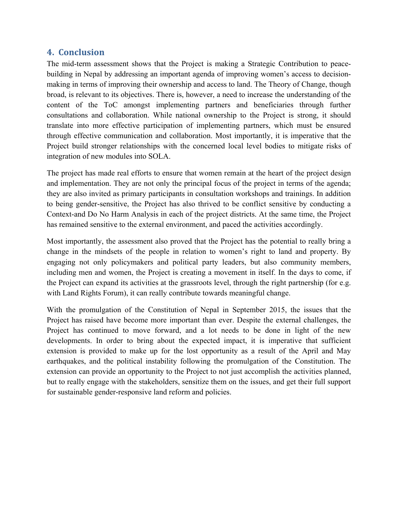## **4. Conclusion**

The mid-term assessment shows that the Project is making a Strategic Contribution to peacebuilding in Nepal by addressing an important agenda of improving women's access to decisionmaking in terms of improving their ownership and access to land. The Theory of Change, though broad, is relevant to its objectives. There is, however, a need to increase the understanding of the content of the ToC amongst implementing partners and beneficiaries through further consultations and collaboration. While national ownership to the Project is strong, it should translate into more effective participation of implementing partners, which must be ensured through effective communication and collaboration. Most importantly, it is imperative that the Project build stronger relationships with the concerned local level bodies to mitigate risks of integration of new modules into SOLA.

The project has made real efforts to ensure that women remain at the heart of the project design and implementation. They are not only the principal focus of the project in terms of the agenda; they are also invited as primary participants in consultation workshops and trainings. In addition to being gender-sensitive, the Project has also thrived to be conflict sensitive by conducting a Context-and Do No Harm Analysis in each of the project districts. At the same time, the Project has remained sensitive to the external environment, and paced the activities accordingly.

Most importantly, the assessment also proved that the Project has the potential to really bring a change in the mindsets of the people in relation to women's right to land and property. By engaging not only policymakers and political party leaders, but also community members, including men and women, the Project is creating a movement in itself. In the days to come, if the Project can expand its activities at the grassroots level, through the right partnership (for e.g. with Land Rights Forum), it can really contribute towards meaningful change.

With the promulgation of the Constitution of Nepal in September 2015, the issues that the Project has raised have become more important than ever. Despite the external challenges, the Project has continued to move forward, and a lot needs to be done in light of the new developments. In order to bring about the expected impact, it is imperative that sufficient extension is provided to make up for the lost opportunity as a result of the April and May earthquakes, and the political instability following the promulgation of the Constitution. The extension can provide an opportunity to the Project to not just accomplish the activities planned, but to really engage with the stakeholders, sensitize them on the issues, and get their full support for sustainable gender-responsive land reform and policies.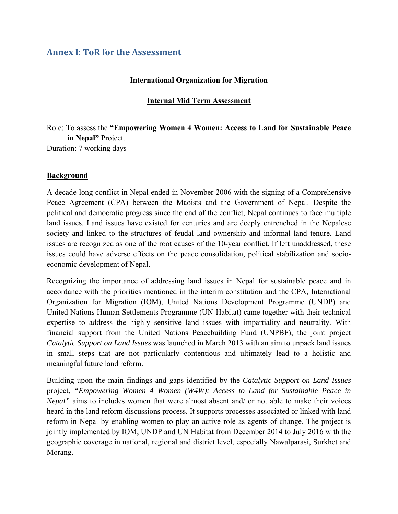## **Annex I: ToR for the Assessment**

### **International Organization for Migration**

### **Internal Mid Term Assessment**

Role: To assess the **"Empowering Women 4 Women: Access to Land for Sustainable Peace in Nepal"** Project. Duration: 7 working days

#### **Background**

A decade-long conflict in Nepal ended in November 2006 with the signing of a Comprehensive Peace Agreement (CPA) between the Maoists and the Government of Nepal. Despite the political and democratic progress since the end of the conflict, Nepal continues to face multiple land issues. Land issues have existed for centuries and are deeply entrenched in the Nepalese society and linked to the structures of feudal land ownership and informal land tenure. Land issues are recognized as one of the root causes of the 10-year conflict. If left unaddressed, these issues could have adverse effects on the peace consolidation, political stabilization and socioeconomic development of Nepal.

Recognizing the importance of addressing land issues in Nepal for sustainable peace and in accordance with the priorities mentioned in the interim constitution and the CPA, International Organization for Migration (IOM), United Nations Development Programme (UNDP) and United Nations Human Settlements Programme (UN-Habitat) came together with their technical expertise to address the highly sensitive land issues with impartiality and neutrality. With financial support from the United Nations Peacebuilding Fund (UNPBF), the joint project *Catalytic Support on Land Issues* was launched in March 2013 with an aim to unpack land issues in small steps that are not particularly contentious and ultimately lead to a holistic and meaningful future land reform.

Building upon the main findings and gaps identified by the *Catalytic Support on Land Issues*  project, *"Empowering Women 4 Women (W4W): Access to Land for Sustainable Peace in Nepal*" aims to includes women that were almost absent and/ or not able to make their voices heard in the land reform discussions process. It supports processes associated or linked with land reform in Nepal by enabling women to play an active role as agents of change. The project is jointly implemented by IOM, UNDP and UN Habitat from December 2014 to July 2016 with the geographic coverage in national, regional and district level, especially Nawalparasi, Surkhet and Morang.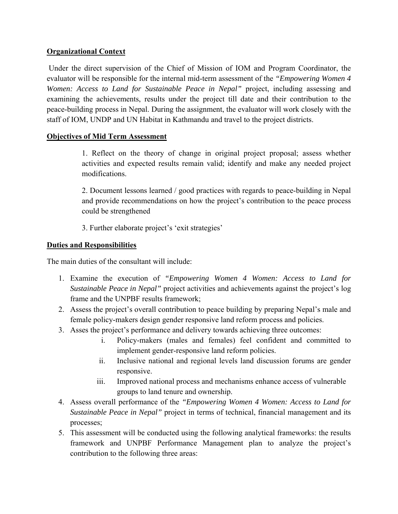## **Organizational Context**

 Under the direct supervision of the Chief of Mission of IOM and Program Coordinator, the evaluator will be responsible for the internal mid-term assessment of the *"Empowering Women 4 Women: Access to Land for Sustainable Peace in Nepal"* project, including assessing and examining the achievements, results under the project till date and their contribution to the peace-building process in Nepal. During the assignment, the evaluator will work closely with the staff of IOM, UNDP and UN Habitat in Kathmandu and travel to the project districts.

## **Objectives of Mid Term Assessment**

1. Reflect on the theory of change in original project proposal; assess whether activities and expected results remain valid; identify and make any needed project modifications.

2. Document lessons learned / good practices with regards to peace-building in Nepal and provide recommendations on how the project's contribution to the peace process could be strengthened

3. Further elaborate project's 'exit strategies'

## **Duties and Responsibilities**

The main duties of the consultant will include:

- 1. Examine the execution of *"Empowering Women 4 Women: Access to Land for Sustainable Peace in Nepal"* project activities and achievements against the project's log frame and the UNPBF results framework;
- 2. Assess the project's overall contribution to peace building by preparing Nepal's male and female policy-makers design gender responsive land reform process and policies.
- 3. Asses the project's performance and delivery towards achieving three outcomes:
	- i. Policy-makers (males and females) feel confident and committed to implement gender-responsive land reform policies.
	- ii. Inclusive national and regional levels land discussion forums are gender responsive.
	- iii. Improved national process and mechanisms enhance access of vulnerable groups to land tenure and ownership.
- 4. Assess overall performance of the *"Empowering Women 4 Women: Access to Land for Sustainable Peace in Nepal"* project in terms of technical, financial management and its processes;
- 5. This assessment will be conducted using the following analytical frameworks: the results framework and UNPBF Performance Management plan to analyze the project's contribution to the following three areas: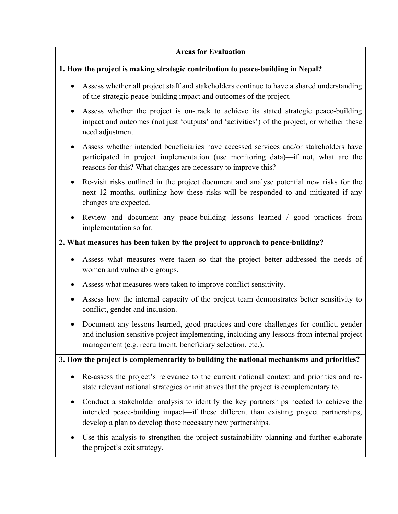## **Areas for Evaluation**

## **1. How the project is making strategic contribution to peace-building in Nepal?**

- Assess whether all project staff and stakeholders continue to have a shared understanding of the strategic peace-building impact and outcomes of the project.
- Assess whether the project is on-track to achieve its stated strategic peace-building impact and outcomes (not just 'outputs' and 'activities') of the project, or whether these need adjustment.
- Assess whether intended beneficiaries have accessed services and/or stakeholders have participated in project implementation (use monitoring data)—if not, what are the reasons for this? What changes are necessary to improve this?
- Re-visit risks outlined in the project document and analyse potential new risks for the next 12 months, outlining how these risks will be responded to and mitigated if any changes are expected.
- Review and document any peace-building lessons learned / good practices from implementation so far.

## **2. What measures has been taken by the project to approach to peace-building?**

- Assess what measures were taken so that the project better addressed the needs of women and vulnerable groups.
- Assess what measures were taken to improve conflict sensitivity.
- Assess how the internal capacity of the project team demonstrates better sensitivity to conflict, gender and inclusion.
- Document any lessons learned, good practices and core challenges for conflict, gender and inclusion sensitive project implementing, including any lessons from internal project management (e.g. recruitment, beneficiary selection, etc.).

**3. How the project is complementarity to building the national mechanisms and priorities?** 

- Re-assess the project's relevance to the current national context and priorities and restate relevant national strategies or initiatives that the project is complementary to.
- Conduct a stakeholder analysis to identify the key partnerships needed to achieve the intended peace-building impact—if these different than existing project partnerships, develop a plan to develop those necessary new partnerships.
- Use this analysis to strengthen the project sustainability planning and further elaborate the project's exit strategy.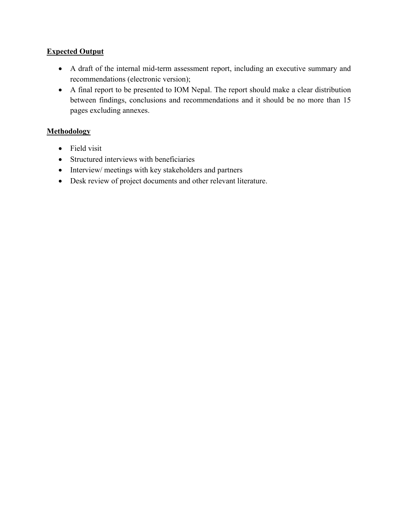## **Expected Output**

- A draft of the internal mid-term assessment report, including an executive summary and recommendations (electronic version);
- A final report to be presented to IOM Nepal. The report should make a clear distribution between findings, conclusions and recommendations and it should be no more than 15 pages excluding annexes.

## **Methodology**

- Field visit
- Structured interviews with beneficiaries
- Interview/ meetings with key stakeholders and partners
- Desk review of project documents and other relevant literature.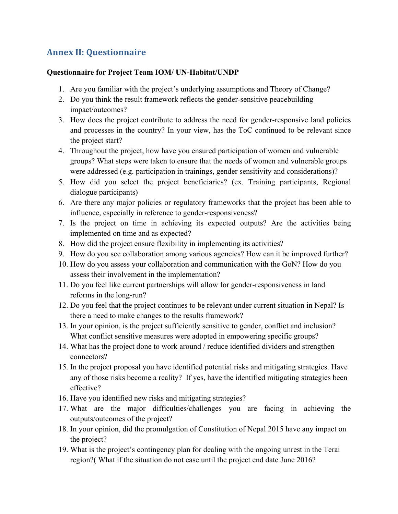## **Annex II: Questionnaire**

### **Questionnaire for Project Team IOM/ UN-Habitat/UNDP**

- 1. Are you familiar with the project's underlying assumptions and Theory of Change?
- 2. Do you think the result framework reflects the gender-sensitive peacebuilding impact/outcomes?
- 3. How does the project contribute to address the need for gender-responsive land policies and processes in the country? In your view, has the ToC continued to be relevant since the project start?
- 4. Throughout the project, how have you ensured participation of women and vulnerable groups? What steps were taken to ensure that the needs of women and vulnerable groups were addressed (e.g. participation in trainings, gender sensitivity and considerations)?
- 5. How did you select the project beneficiaries? (ex. Training participants, Regional dialogue participants)
- 6. Are there any major policies or regulatory frameworks that the project has been able to influence, especially in reference to gender-responsiveness?
- 7. Is the project on time in achieving its expected outputs? Are the activities being implemented on time and as expected?
- 8. How did the project ensure flexibility in implementing its activities?
- 9. How do you see collaboration among various agencies? How can it be improved further?
- 10. How do you assess your collaboration and communication with the GoN? How do you assess their involvement in the implementation?
- 11. Do you feel like current partnerships will allow for gender-responsiveness in land reforms in the long-run?
- 12. Do you feel that the project continues to be relevant under current situation in Nepal? Is there a need to make changes to the results framework?
- 13. In your opinion, is the project sufficiently sensitive to gender, conflict and inclusion? What conflict sensitive measures were adopted in empowering specific groups?
- 14. What has the project done to work around / reduce identified dividers and strengthen connectors?
- 15. In the project proposal you have identified potential risks and mitigating strategies. Have any of those risks become a reality? If yes, have the identified mitigating strategies been effective?
- 16. Have you identified new risks and mitigating strategies?
- 17. What are the major difficulties/challenges you are facing in achieving the outputs/outcomes of the project?
- 18. In your opinion, did the promulgation of Constitution of Nepal 2015 have any impact on the project?
- 19. What is the project's contingency plan for dealing with the ongoing unrest in the Terai region?( What if the situation do not ease until the project end date June 2016?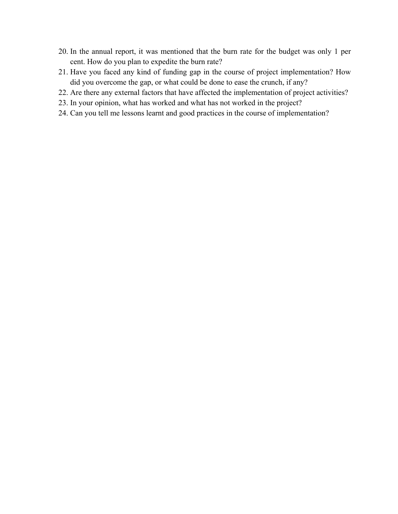- 20. In the annual report, it was mentioned that the burn rate for the budget was only 1 per cent. How do you plan to expedite the burn rate?
- 21. Have you faced any kind of funding gap in the course of project implementation? How did you overcome the gap, or what could be done to ease the crunch, if any?
- 22. Are there any external factors that have affected the implementation of project activities?
- 23. In your opinion, what has worked and what has not worked in the project?
- 24. Can you tell me lessons learnt and good practices in the course of implementation?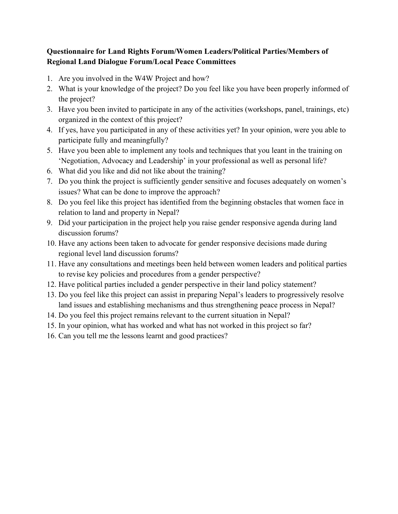## **Questionnaire for Land Rights Forum/Women Leaders/Political Parties/Members of Regional Land Dialogue Forum/Local Peace Committees**

- 1. Are you involved in the W4W Project and how?
- 2. What is your knowledge of the project? Do you feel like you have been properly informed of the project?
- 3. Have you been invited to participate in any of the activities (workshops, panel, trainings, etc) organized in the context of this project?
- 4. If yes, have you participated in any of these activities yet? In your opinion, were you able to participate fully and meaningfully?
- 5. Have you been able to implement any tools and techniques that you leant in the training on 'Negotiation, Advocacy and Leadership' in your professional as well as personal life?
- 6. What did you like and did not like about the training?
- 7. Do you think the project is sufficiently gender sensitive and focuses adequately on women's issues? What can be done to improve the approach?
- 8. Do you feel like this project has identified from the beginning obstacles that women face in relation to land and property in Nepal?
- 9. Did your participation in the project help you raise gender responsive agenda during land discussion forums?
- 10. Have any actions been taken to advocate for gender responsive decisions made during regional level land discussion forums?
- 11. Have any consultations and meetings been held between women leaders and political parties to revise key policies and procedures from a gender perspective?
- 12. Have political parties included a gender perspective in their land policy statement?
- 13. Do you feel like this project can assist in preparing Nepal's leaders to progressively resolve land issues and establishing mechanisms and thus strengthening peace process in Nepal?
- 14. Do you feel this project remains relevant to the current situation in Nepal?
- 15. In your opinion, what has worked and what has not worked in this project so far?
- 16. Can you tell me the lessons learnt and good practices?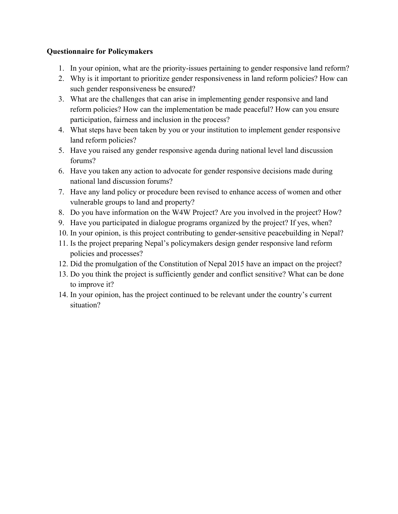## **Questionnaire for Policymakers**

- 1. In your opinion, what are the priority-issues pertaining to gender responsive land reform?
- 2. Why is it important to prioritize gender responsiveness in land reform policies? How can such gender responsiveness be ensured?
- 3. What are the challenges that can arise in implementing gender responsive and land reform policies? How can the implementation be made peaceful? How can you ensure participation, fairness and inclusion in the process?
- 4. What steps have been taken by you or your institution to implement gender responsive land reform policies?
- 5. Have you raised any gender responsive agenda during national level land discussion forums?
- 6. Have you taken any action to advocate for gender responsive decisions made during national land discussion forums?
- 7. Have any land policy or procedure been revised to enhance access of women and other vulnerable groups to land and property?
- 8. Do you have information on the W4W Project? Are you involved in the project? How?
- 9. Have you participated in dialogue programs organized by the project? If yes, when?
- 10. In your opinion, is this project contributing to gender-sensitive peacebuilding in Nepal?
- 11. Is the project preparing Nepal's policymakers design gender responsive land reform policies and processes?
- 12. Did the promulgation of the Constitution of Nepal 2015 have an impact on the project?
- 13. Do you think the project is sufficiently gender and conflict sensitive? What can be done to improve it?
- 14. In your opinion, has the project continued to be relevant under the country's current situation?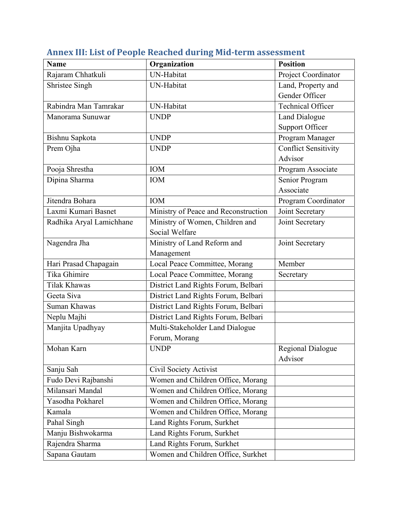| <b>Name</b>              | Organization                         | <b>Position</b>             |
|--------------------------|--------------------------------------|-----------------------------|
| Rajaram Chhatkuli        | <b>UN-Habitat</b>                    | Project Coordinator         |
| Shristee Singh           | UN-Habitat                           | Land, Property and          |
|                          |                                      | Gender Officer              |
| Rabindra Man Tamrakar    | UN-Habitat                           | <b>Technical Officer</b>    |
| Manorama Sunuwar         | <b>UNDP</b>                          | <b>Land Dialogue</b>        |
|                          |                                      | <b>Support Officer</b>      |
| Bishnu Sapkota           | <b>UNDP</b>                          | Program Manager             |
| Prem Ojha                | <b>UNDP</b>                          | <b>Conflict Sensitivity</b> |
|                          |                                      | Advisor                     |
| Pooja Shrestha           | <b>IOM</b>                           | Program Associate           |
| Dipina Sharma            | <b>IOM</b>                           | Senior Program              |
|                          |                                      | Associate                   |
| Jitendra Bohara          | <b>IOM</b>                           | Program Coordinator         |
| Laxmi Kumari Basnet      | Ministry of Peace and Reconstruction | Joint Secretary             |
| Radhika Aryal Lamichhane | Ministry of Women, Children and      | Joint Secretary             |
|                          | Social Welfare                       |                             |
| Nagendra Jha             | Ministry of Land Reform and          | Joint Secretary             |
|                          | Management                           |                             |
| Hari Prasad Chapagain    | Local Peace Committee, Morang        | Member                      |
| Tika Ghimire             | Local Peace Committee, Morang        | Secretary                   |
| <b>Tilak Khawas</b>      | District Land Rights Forum, Belbari  |                             |
| Geeta Siva               | District Land Rights Forum, Belbari  |                             |
| Suman Khawas             | District Land Rights Forum, Belbari  |                             |
| Neplu Majhi              | District Land Rights Forum, Belbari  |                             |
| Manjita Upadhyay         | Multi-Stakeholder Land Dialogue      |                             |
|                          | Forum, Morang                        |                             |
| Mohan Karn               | <b>UNDP</b>                          | Regional Dialogue           |
|                          |                                      | Advisor                     |
| Sanju Sah                | <b>Civil Society Activist</b>        |                             |
| Fudo Devi Rajbanshi      | Women and Children Office, Morang    |                             |
| Milansari Mandal         | Women and Children Office, Morang    |                             |
| Yasodha Pokharel         | Women and Children Office, Morang    |                             |
| Kamala                   | Women and Children Office, Morang    |                             |
| Pahal Singh              | Land Rights Forum, Surkhet           |                             |
| Manju Bishwokarma        | Land Rights Forum, Surkhet           |                             |
| Rajendra Sharma          | Land Rights Forum, Surkhet           |                             |
| Sapana Gautam            | Women and Children Office, Surkhet   |                             |

# **Annex III: List of People Reached during Mid‐term assessment**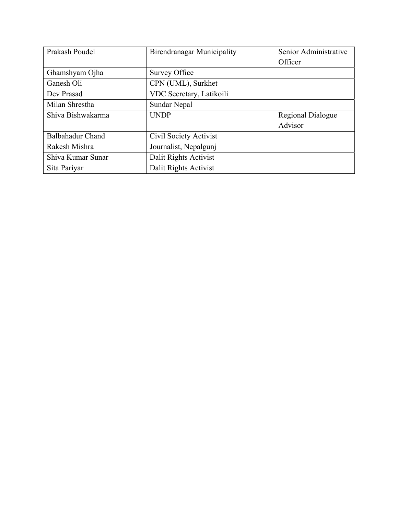| Prakash Poudel          | <b>Birendranagar Municipality</b> | Senior Administrative |
|-------------------------|-----------------------------------|-----------------------|
|                         |                                   | Officer               |
| Ghamshyam Ojha          | <b>Survey Office</b>              |                       |
| Ganesh Oli              | CPN (UML), Surkhet                |                       |
| Dev Prasad              | VDC Secretary, Latikoili          |                       |
| Milan Shrestha          | Sundar Nepal                      |                       |
| Shiva Bishwakarma       | <b>UNDP</b>                       | Regional Dialogue     |
|                         |                                   | Advisor               |
| <b>Balbahadur Chand</b> | Civil Society Activist            |                       |
| Rakesh Mishra           | Journalist, Nepalgunj             |                       |
| Shiva Kumar Sunar       | Dalit Rights Activist             |                       |
| Sita Pariyar            | Dalit Rights Activist             |                       |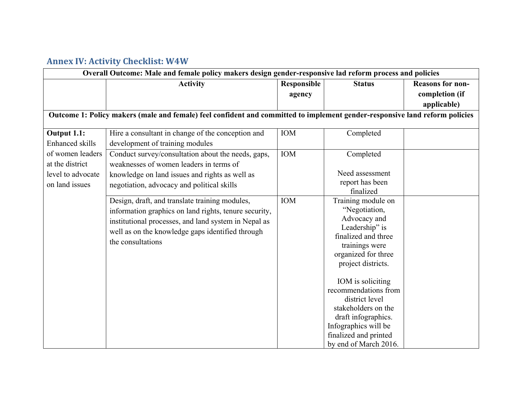## **Annex IV: Activity Checklist: W4W**

| Overall Outcome: Male and female policy makers design gender-responsive lad reform process and policies |                                                                                                                             |             |                                           |                         |
|---------------------------------------------------------------------------------------------------------|-----------------------------------------------------------------------------------------------------------------------------|-------------|-------------------------------------------|-------------------------|
|                                                                                                         | <b>Activity</b>                                                                                                             | Responsible | <b>Status</b>                             | <b>Reasons for non-</b> |
|                                                                                                         |                                                                                                                             | agency      |                                           | completion (if          |
|                                                                                                         |                                                                                                                             |             |                                           | applicable)             |
|                                                                                                         | Outcome 1: Policy makers (male and female) feel confident and committed to implement gender-responsive land reform policies |             |                                           |                         |
| Output 1.1:                                                                                             | Hire a consultant in change of the conception and                                                                           | <b>IOM</b>  | Completed                                 |                         |
| <b>Enhanced skills</b>                                                                                  | development of training modules                                                                                             |             |                                           |                         |
| of women leaders                                                                                        | Conduct survey/consultation about the needs, gaps,                                                                          | IOM         | Completed                                 |                         |
| at the district                                                                                         | weaknesses of women leaders in terms of                                                                                     |             |                                           |                         |
| level to advocate                                                                                       | knowledge on land issues and rights as well as                                                                              |             | Need assessment                           |                         |
| on land issues                                                                                          | negotiation, advocacy and political skills                                                                                  |             | report has been                           |                         |
|                                                                                                         |                                                                                                                             |             | finalized                                 |                         |
|                                                                                                         | Design, draft, and translate training modules,                                                                              | <b>IOM</b>  | Training module on<br>"Negotiation,       |                         |
|                                                                                                         | information graphics on land rights, tenure security,                                                                       |             | Advocacy and                              |                         |
|                                                                                                         | institutional processes, and land system in Nepal as                                                                        |             | Leadership" is                            |                         |
|                                                                                                         | well as on the knowledge gaps identified through                                                                            |             | finalized and three                       |                         |
|                                                                                                         | the consultations                                                                                                           |             | trainings were                            |                         |
|                                                                                                         |                                                                                                                             |             | organized for three                       |                         |
|                                                                                                         |                                                                                                                             |             | project districts.                        |                         |
|                                                                                                         |                                                                                                                             |             |                                           |                         |
|                                                                                                         |                                                                                                                             |             | IOM is soliciting<br>recommendations from |                         |
|                                                                                                         |                                                                                                                             |             | district level                            |                         |
|                                                                                                         |                                                                                                                             |             | stakeholders on the                       |                         |
|                                                                                                         |                                                                                                                             |             | draft infographics.                       |                         |
|                                                                                                         |                                                                                                                             |             | Infographics will be                      |                         |
|                                                                                                         |                                                                                                                             |             | finalized and printed                     |                         |
|                                                                                                         |                                                                                                                             |             | by end of March 2016.                     |                         |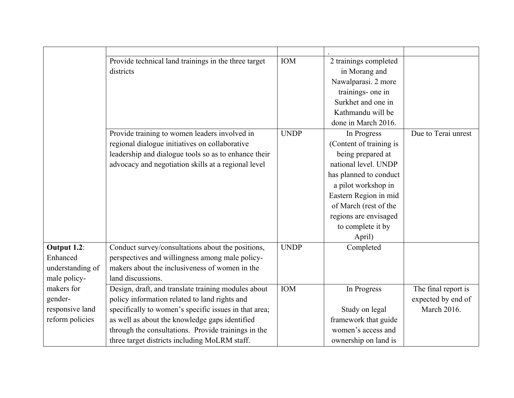|                  | Provide technical land trainings in the three target  | <b>IOM</b>  | 2 trainings completed   |                     |
|------------------|-------------------------------------------------------|-------------|-------------------------|---------------------|
|                  | districts                                             |             | in Morang and           |                     |
|                  |                                                       |             | Nawalparasi. 2 more     |                     |
|                  |                                                       |             | trainings- one in       |                     |
|                  |                                                       |             | Surkhet and one in      |                     |
|                  |                                                       |             | Kathmandu will be       |                     |
|                  |                                                       |             | done in March 2016.     |                     |
|                  | Provide training to women leaders involved in         | <b>UNDP</b> | In Progress             | Due to Terai unrest |
|                  | regional dialogue initiatives on collaborative        |             | (Content of training is |                     |
|                  | leadership and dialogue tools so as to enhance their  |             | being prepared at       |                     |
|                  | advocacy and negotiation skills at a regional level   |             | national level. UNDP    |                     |
|                  |                                                       |             | has planned to conduct  |                     |
|                  |                                                       |             | a pilot workshop in     |                     |
|                  |                                                       |             | Eastern Region in mid   |                     |
|                  |                                                       |             | of March (rest of the   |                     |
|                  |                                                       |             | regions are envisaged   |                     |
|                  |                                                       |             | to complete it by       |                     |
|                  |                                                       |             | April)                  |                     |
| Output 1.2:      | Conduct survey/consultations about the positions,     | <b>UNDP</b> | Completed               |                     |
| Enhanced         | perspectives and willingness among male policy-       |             |                         |                     |
| understanding of | makers about the inclusiveness of women in the        |             |                         |                     |
| male policy-     | land discussions.                                     |             |                         |                     |
| makers for       | Design, draft, and translate training modules about   | <b>IOM</b>  | In Progress             | The final report is |
| gender-          | policy information related to land rights and         |             |                         | expected by end of  |
| responsive land  | specifically to women's specific issues in that area; |             | Study on legal          | March 2016.         |
| reform policies  | as well as about the knowledge gaps identified        |             | framework that guide    |                     |
|                  | through the consultations. Provide trainings in the   |             | women's access and      |                     |
|                  | three target districts including MoLRM staff.         |             | ownership on land is    |                     |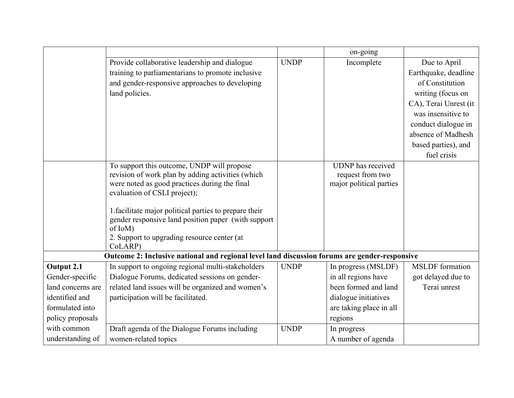|                   |                                                                                               |             | on-going                 |                        |
|-------------------|-----------------------------------------------------------------------------------------------|-------------|--------------------------|------------------------|
|                   | Provide collaborative leadership and dialogue                                                 | <b>UNDP</b> | Incomplete               | Due to April           |
|                   | training to parliamentarians to promote inclusive                                             |             |                          | Earthquake, deadline   |
|                   | and gender-responsive approaches to developing                                                |             |                          | of Constitution        |
|                   | land policies.                                                                                |             |                          | writing (focus on      |
|                   |                                                                                               |             |                          | CA), Terai Unrest (it  |
|                   |                                                                                               |             |                          | was insensitive to     |
|                   |                                                                                               |             |                          | conduct dialogue in    |
|                   |                                                                                               |             |                          | absence of Madhesh     |
|                   |                                                                                               |             |                          | based parties), and    |
|                   |                                                                                               |             |                          | fuel crisis            |
|                   | To support this outcome, UNDP will propose                                                    |             | <b>UDNP</b> has received |                        |
|                   | revision of work plan by adding activities (which                                             |             | request from two         |                        |
|                   | were noted as good practices during the final                                                 |             | major political parties  |                        |
|                   | evaluation of CSLI project);                                                                  |             |                          |                        |
|                   | 1. facilitate major political parties to prepare their                                        |             |                          |                        |
|                   | gender responsive land position paper (with support                                           |             |                          |                        |
|                   | of IoM)                                                                                       |             |                          |                        |
|                   | 2. Support to upgrading resource center (at                                                   |             |                          |                        |
|                   | CoLARP)                                                                                       |             |                          |                        |
|                   | Outcome 2: Inclusive national and regional level land discussion forums are gender-responsive |             |                          |                        |
| Output 2.1        | In support to ongoing regional multi-stakeholders                                             | <b>UNDP</b> | In progress (MSLDF)      | <b>MSLDF</b> formation |
| Gender-specific   | Dialogue Forums, dedicated sessions on gender-                                                |             | in all regions have      | got delayed due to     |
| land concerns are | related land issues will be organized and women's                                             |             | been formed and land     | Terai unrest           |
| identified and    | participation will be facilitated.                                                            |             | dialogue initiatives     |                        |
| formulated into   |                                                                                               |             | are taking place in all  |                        |
| policy proposals  |                                                                                               |             | regions                  |                        |
| with common       | Draft agenda of the Dialogue Forums including                                                 | <b>UNDP</b> | In progress              |                        |
| understanding of  | women-related topics                                                                          |             | A number of agenda       |                        |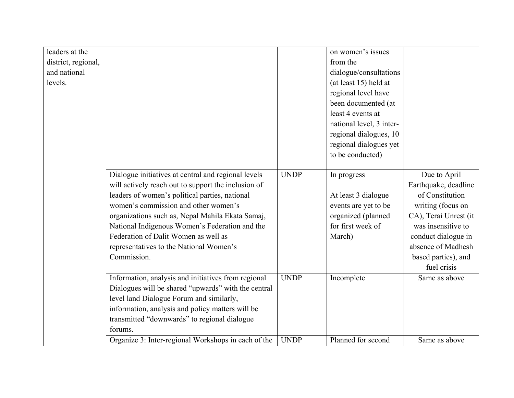| on women's issues<br>dialogue/consultations<br>(at least 15) held at<br>regional level have<br>been documented (at<br>least 4 events at<br>national level, 3 inter-<br>regional dialogues, 10<br>regional dialogues yet<br>to be conducted)<br>Due to April<br>In progress               |
|------------------------------------------------------------------------------------------------------------------------------------------------------------------------------------------------------------------------------------------------------------------------------------------|
| Earthquake, deadline<br>of Constitution<br>At least 3 dialogue<br>writing (focus on<br>events are yet to be<br>organized (planned<br>CA), Terai Unrest (it<br>for first week of<br>was insensitive to<br>conduct dialogue in<br>absence of Madhesh<br>based parties), and<br>fuel crisis |
| Same as above                                                                                                                                                                                                                                                                            |
| Incomplete                                                                                                                                                                                                                                                                               |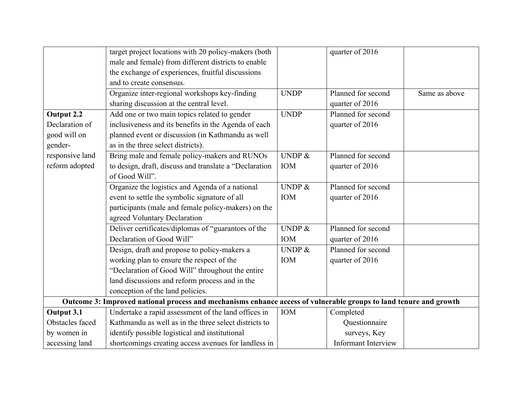|                 | target project locations with 20 policy-makers (both                                                              |             | quarter of 2016            |               |
|-----------------|-------------------------------------------------------------------------------------------------------------------|-------------|----------------------------|---------------|
|                 | male and female) from different districts to enable                                                               |             |                            |               |
|                 | the exchange of experiences, fruitful discussions                                                                 |             |                            |               |
|                 | and to create consensus.                                                                                          |             |                            |               |
|                 | Organize inter-regional workshops key-finding                                                                     | <b>UNDP</b> | Planned for second         | Same as above |
|                 | sharing discussion at the central level.                                                                          |             | quarter of 2016            |               |
| Output 2.2      | Add one or two main topics related to gender                                                                      | <b>UNDP</b> | Planned for second         |               |
| Declaration of  | inclusiveness and its benefits in the Agenda of each                                                              |             | quarter of 2016            |               |
| good will on    | planned event or discussion (in Kathmandu as well                                                                 |             |                            |               |
| gender-         | as in the three select districts).                                                                                |             |                            |               |
| responsive land | Bring male and female policy-makers and RUNOs                                                                     | UNDP $&$    | Planned for second         |               |
| reform adopted  | to design, draft, discuss and translate a "Declaration                                                            | <b>IOM</b>  | quarter of 2016            |               |
|                 | of Good Will".                                                                                                    |             |                            |               |
|                 | Organize the logistics and Agenda of a national                                                                   | UNDP $\&$   | Planned for second         |               |
|                 | event to settle the symbolic signature of all                                                                     | <b>IOM</b>  | quarter of 2016            |               |
|                 | participants (male and female policy-makers) on the                                                               |             |                            |               |
|                 | agreed Voluntary Declaration                                                                                      |             |                            |               |
|                 | Deliver certificates/diplomas of "guarantors of the                                                               | UNDP &      | Planned for second         |               |
|                 | Declaration of Good Will"                                                                                         | <b>IOM</b>  | quarter of 2016            |               |
|                 | Design, draft and propose to policy-makers a                                                                      | UNDP $&$    | Planned for second         |               |
|                 | working plan to ensure the respect of the                                                                         | <b>IOM</b>  | quarter of 2016            |               |
|                 | "Declaration of Good Will" throughout the entire                                                                  |             |                            |               |
|                 | land discussions and reform process and in the                                                                    |             |                            |               |
|                 | conception of the land policies.                                                                                  |             |                            |               |
|                 | Outcome 3: Improved national process and mechanisms enhance access of vulnerable groups to land tenure and growth |             |                            |               |
| Output 3.1      | Undertake a rapid assessment of the land offices in                                                               | <b>IOM</b>  | Completed                  |               |
| Obstacles faced | Kathmandu as well as in the three select districts to                                                             |             | Questionnaire              |               |
| by women in     | identify possible logistical and institutional                                                                    |             | surveys, Key               |               |
| accessing land  | shortcomings creating access avenues for landless in                                                              |             | <b>Informant Interview</b> |               |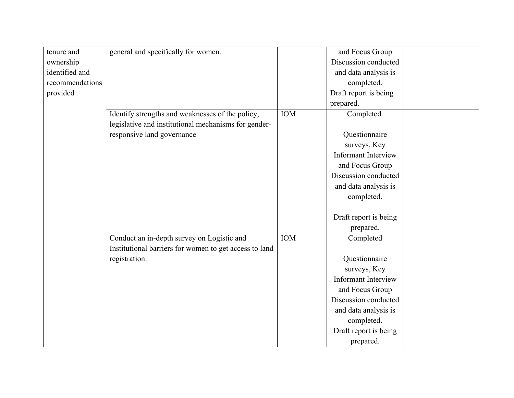| tenure and      | general and specifically for women.                    |            | and Focus Group            |  |
|-----------------|--------------------------------------------------------|------------|----------------------------|--|
| ownership       |                                                        |            | Discussion conducted       |  |
| identified and  |                                                        |            | and data analysis is       |  |
| recommendations |                                                        |            | completed.                 |  |
| provided        |                                                        |            | Draft report is being      |  |
|                 |                                                        |            | prepared.                  |  |
|                 | Identify strengths and weaknesses of the policy,       | <b>IOM</b> | Completed.                 |  |
|                 | legislative and institutional mechanisms for gender-   |            |                            |  |
|                 | responsive land governance                             |            | Questionnaire              |  |
|                 |                                                        |            | surveys, Key               |  |
|                 |                                                        |            | Informant Interview        |  |
|                 |                                                        |            | and Focus Group            |  |
|                 |                                                        |            | Discussion conducted       |  |
|                 |                                                        |            | and data analysis is       |  |
|                 |                                                        |            | completed.                 |  |
|                 |                                                        |            |                            |  |
|                 |                                                        |            | Draft report is being      |  |
|                 |                                                        |            | prepared.                  |  |
|                 | Conduct an in-depth survey on Logistic and             | <b>IOM</b> | Completed                  |  |
|                 | Institutional barriers for women to get access to land |            |                            |  |
|                 | registration.                                          |            | Questionnaire              |  |
|                 |                                                        |            | surveys, Key               |  |
|                 |                                                        |            | <b>Informant Interview</b> |  |
|                 |                                                        |            | and Focus Group            |  |
|                 |                                                        |            | Discussion conducted       |  |
|                 |                                                        |            | and data analysis is       |  |
|                 |                                                        |            | completed.                 |  |
|                 |                                                        |            | Draft report is being      |  |
|                 |                                                        |            | prepared.                  |  |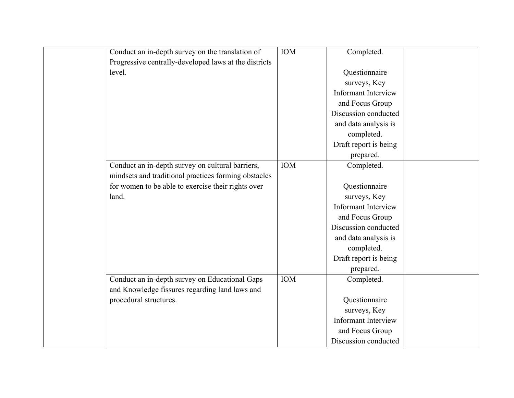| Conduct an in-depth survey on the translation of      | IOM        | Completed.                 |  |
|-------------------------------------------------------|------------|----------------------------|--|
| Progressive centrally-developed laws at the districts |            |                            |  |
| level.                                                |            | Questionnaire              |  |
|                                                       |            | surveys, Key               |  |
|                                                       |            | <b>Informant Interview</b> |  |
|                                                       |            | and Focus Group            |  |
|                                                       |            | Discussion conducted       |  |
|                                                       |            | and data analysis is       |  |
|                                                       |            | completed.                 |  |
|                                                       |            | Draft report is being      |  |
|                                                       |            | prepared.                  |  |
| Conduct an in-depth survey on cultural barriers,      | IOM        | Completed.                 |  |
| mindsets and traditional practices forming obstacles  |            |                            |  |
| for women to be able to exercise their rights over    |            | Questionnaire              |  |
| land.                                                 |            | surveys, Key               |  |
|                                                       |            | <b>Informant Interview</b> |  |
|                                                       |            | and Focus Group            |  |
|                                                       |            | Discussion conducted       |  |
|                                                       |            | and data analysis is       |  |
|                                                       |            | completed.                 |  |
|                                                       |            | Draft report is being      |  |
|                                                       |            | prepared.                  |  |
| Conduct an in-depth survey on Educational Gaps        | <b>IOM</b> | Completed.                 |  |
| and Knowledge fissures regarding land laws and        |            |                            |  |
| procedural structures.                                |            | Questionnaire              |  |
|                                                       |            | surveys, Key               |  |
|                                                       |            | <b>Informant Interview</b> |  |
|                                                       |            | and Focus Group            |  |
|                                                       |            | Discussion conducted       |  |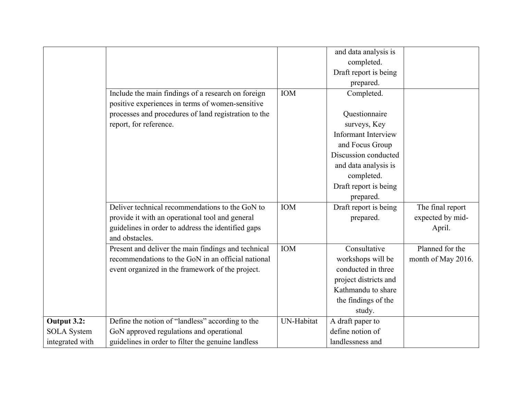|                    |                                                      |            | and data analysis is       |                    |
|--------------------|------------------------------------------------------|------------|----------------------------|--------------------|
|                    |                                                      |            | completed.                 |                    |
|                    |                                                      |            | Draft report is being      |                    |
|                    |                                                      |            | prepared.                  |                    |
|                    | Include the main findings of a research on foreign   | <b>IOM</b> | Completed.                 |                    |
|                    | positive experiences in terms of women-sensitive     |            |                            |                    |
|                    | processes and procedures of land registration to the |            | Questionnaire              |                    |
|                    | report, for reference.                               |            | surveys, Key               |                    |
|                    |                                                      |            | <b>Informant Interview</b> |                    |
|                    |                                                      |            | and Focus Group            |                    |
|                    |                                                      |            | Discussion conducted       |                    |
|                    |                                                      |            | and data analysis is       |                    |
|                    |                                                      |            | completed.                 |                    |
|                    |                                                      |            | Draft report is being      |                    |
|                    |                                                      |            | prepared.                  |                    |
|                    | Deliver technical recommendations to the GoN to      | <b>IOM</b> | Draft report is being      | The final report   |
|                    | provide it with an operational tool and general      |            | prepared.                  | expected by mid-   |
|                    | guidelines in order to address the identified gaps   |            |                            | April.             |
|                    | and obstacles.                                       |            |                            |                    |
|                    | Present and deliver the main findings and technical  | <b>IOM</b> | Consultative               | Planned for the    |
|                    | recommendations to the GoN in an official national   |            | workshops will be          | month of May 2016. |
|                    | event organized in the framework of the project.     |            | conducted in three         |                    |
|                    |                                                      |            | project districts and      |                    |
|                    |                                                      |            | Kathmandu to share         |                    |
|                    |                                                      |            | the findings of the        |                    |
|                    |                                                      |            | study.                     |                    |
| Output 3.2:        | Define the notion of "landless" according to the     | UN-Habitat | A draft paper to           |                    |
| <b>SOLA</b> System | GoN approved regulations and operational             |            | define notion of           |                    |
| integrated with    | guidelines in order to filter the genuine landless   |            | landlessness and           |                    |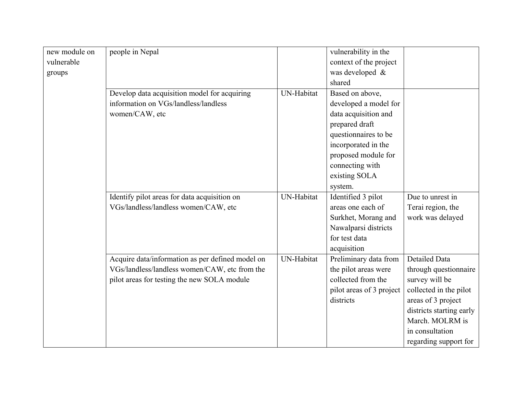| new module on | people in Nepal                                  |            | vulnerability in the     |                          |
|---------------|--------------------------------------------------|------------|--------------------------|--------------------------|
| vulnerable    |                                                  |            | context of the project   |                          |
| groups        |                                                  |            | was developed &          |                          |
|               |                                                  |            | shared                   |                          |
|               | Develop data acquisition model for acquiring     | UN-Habitat | Based on above,          |                          |
|               | information on VGs/landless/landless             |            | developed a model for    |                          |
|               | women/CAW, etc                                   |            | data acquisition and     |                          |
|               |                                                  |            | prepared draft           |                          |
|               |                                                  |            | questionnaires to be     |                          |
|               |                                                  |            | incorporated in the      |                          |
|               |                                                  |            | proposed module for      |                          |
|               |                                                  |            | connecting with          |                          |
|               |                                                  |            | existing SOLA            |                          |
|               |                                                  |            | system.                  |                          |
|               | Identify pilot areas for data acquisition on     | UN-Habitat | Identified 3 pilot       | Due to unrest in         |
|               | VGs/landless/landless women/CAW, etc             |            | areas one each of        | Terai region, the        |
|               |                                                  |            | Surkhet, Morang and      | work was delayed         |
|               |                                                  |            | Nawalparsi districts     |                          |
|               |                                                  |            | for test data            |                          |
|               |                                                  |            | acquisition              |                          |
|               | Acquire data/information as per defined model on | UN-Habitat | Preliminary data from    | <b>Detailed Data</b>     |
|               | VGs/landless/landless women/CAW, etc from the    |            | the pilot areas were     | through questionnaire    |
|               | pilot areas for testing the new SOLA module      |            | collected from the       | survey will be           |
|               |                                                  |            | pilot areas of 3 project | collected in the pilot   |
|               |                                                  |            | districts                | areas of 3 project       |
|               |                                                  |            |                          | districts starting early |
|               |                                                  |            |                          | March. MOLRM is          |
|               |                                                  |            |                          | in consultation          |
|               |                                                  |            |                          | regarding support for    |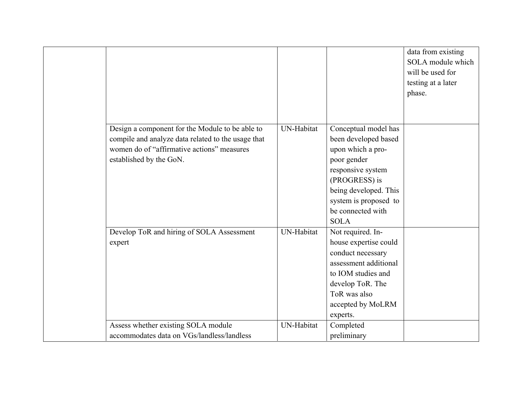|                                                                                                                                                                                |                   |                                                                                                                                                                                                              | data from existing<br>SOLA module which<br>will be used for<br>testing at a later |
|--------------------------------------------------------------------------------------------------------------------------------------------------------------------------------|-------------------|--------------------------------------------------------------------------------------------------------------------------------------------------------------------------------------------------------------|-----------------------------------------------------------------------------------|
|                                                                                                                                                                                |                   |                                                                                                                                                                                                              | phase.                                                                            |
| Design a component for the Module to be able to<br>compile and analyze data related to the usage that<br>women do of "affirmative actions" measures<br>established by the GoN. | <b>UN-Habitat</b> | Conceptual model has<br>been developed based<br>upon which a pro-<br>poor gender<br>responsive system<br>(PROGRESS) is<br>being developed. This<br>system is proposed to<br>be connected with<br><b>SOLA</b> |                                                                                   |
| Develop ToR and hiring of SOLA Assessment<br>expert                                                                                                                            | UN-Habitat        | Not required. In-<br>house expertise could<br>conduct necessary<br>assessment additional<br>to IOM studies and<br>develop ToR. The<br>ToR was also<br>accepted by MoLRM<br>experts.                          |                                                                                   |
| Assess whether existing SOLA module<br>accommodates data on VGs/landless/landless                                                                                              | UN-Habitat        | Completed<br>preliminary                                                                                                                                                                                     |                                                                                   |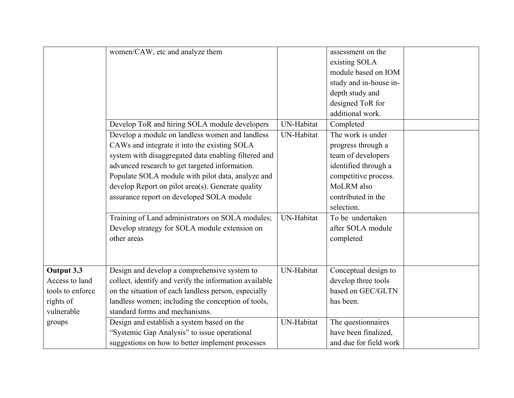|                  | women/CAW, etc and analyze them                        |            | assessment on the      |  |
|------------------|--------------------------------------------------------|------------|------------------------|--|
|                  |                                                        |            | existing SOLA          |  |
|                  |                                                        |            | module based on IOM    |  |
|                  |                                                        |            | study and in-house in- |  |
|                  |                                                        |            | depth study and        |  |
|                  |                                                        |            | designed ToR for       |  |
|                  |                                                        |            | additional work.       |  |
|                  | Develop ToR and hiring SOLA module developers          | UN-Habitat | Completed              |  |
|                  | Develop a module on landless women and landless        | UN-Habitat | The work is under      |  |
|                  | CAWs and integrate it into the existing SOLA           |            | progress through a     |  |
|                  | system with disaggregated data enabling filtered and   |            | team of developers     |  |
|                  | advanced research to get targeted information.         |            | identified through a   |  |
|                  | Populate SOLA module with pilot data, analyze and      |            | competitive process.   |  |
|                  | develop Report on pilot area(s). Generate quality      |            | MoLRM also             |  |
|                  | assurance report on developed SOLA module              |            | contributed in the     |  |
|                  |                                                        |            | selection.             |  |
|                  | Training of Land administrators on SOLA modules;       | UN-Habitat | To be undertaken       |  |
|                  | Develop strategy for SOLA module extension on          |            | after SOLA module      |  |
|                  | other areas                                            |            | completed              |  |
|                  |                                                        |            |                        |  |
|                  |                                                        |            |                        |  |
| Output 3.3       | Design and develop a comprehensive system to           | UN-Habitat | Conceptual design to   |  |
| Access to land   | collect, identify and verify the information available |            | develop three tools    |  |
| tools to enforce | on the situation of each landless person, especially   |            | based on GEC/GLTN      |  |
| rights of        | landless women; including the conception of tools,     |            | has been.              |  |
| vulnerable       | standard forms and mechanisms.                         |            |                        |  |
| groups           | Design and establish a system based on the             | UN-Habitat | The questionnaires     |  |
|                  | "Systemic Gap Analysis" to issue operational           |            | have been finalized,   |  |
|                  | suggestions on how to better implement processes       |            | and due for field work |  |